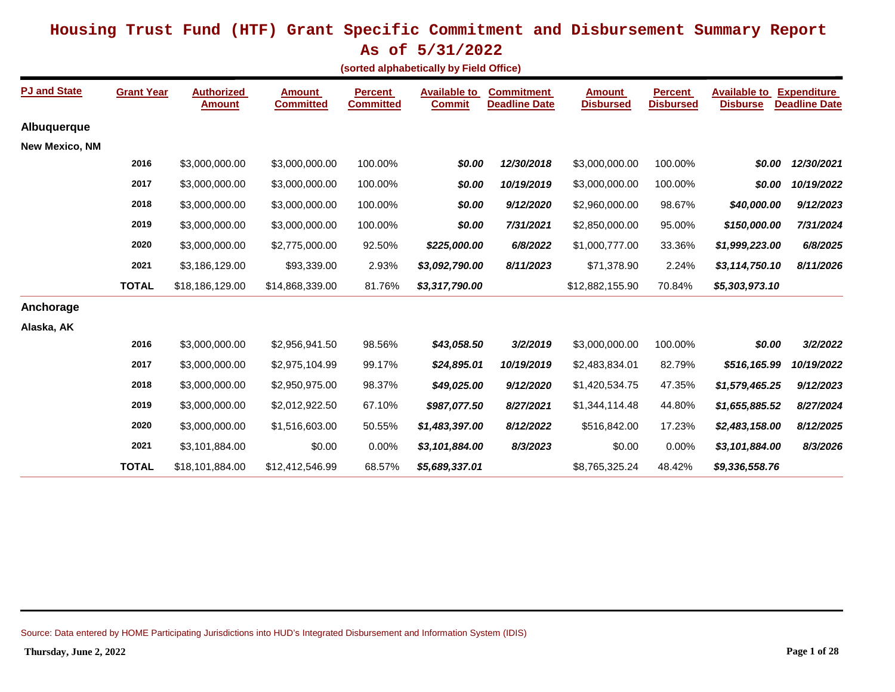**As of 5/31/2022**

**(sorted alphabetically by Field Office)**

| <b>PJ and State</b>   | <b>Grant Year</b> | <b>Authorized</b><br><b>Amount</b> | <b>Amount</b><br><b>Committed</b> | <b>Percent</b><br><b>Committed</b> | <b>Available to</b><br><b>Commit</b> | <b>Commitment</b><br><b>Deadline Date</b> | <b>Amount</b><br><b>Disbursed</b> | <b>Percent</b><br><b>Disbursed</b> | <b>Available to</b><br><b>Disburse</b> | <b>Expenditure</b><br><b>Deadline Date</b> |
|-----------------------|-------------------|------------------------------------|-----------------------------------|------------------------------------|--------------------------------------|-------------------------------------------|-----------------------------------|------------------------------------|----------------------------------------|--------------------------------------------|
| Albuquerque           |                   |                                    |                                   |                                    |                                      |                                           |                                   |                                    |                                        |                                            |
| <b>New Mexico, NM</b> |                   |                                    |                                   |                                    |                                      |                                           |                                   |                                    |                                        |                                            |
|                       | 2016              | \$3,000,000.00                     | \$3,000,000.00                    | 100.00%                            | \$0.00                               | 12/30/2018                                | \$3,000,000.00                    | 100.00%                            | \$0.00                                 | 12/30/2021                                 |
|                       | 2017              | \$3,000,000.00                     | \$3,000,000.00                    | 100.00%                            | \$0.00                               | 10/19/2019                                | \$3,000,000.00                    | 100.00%                            | \$0.00                                 | 10/19/2022                                 |
|                       | 2018              | \$3,000,000.00                     | \$3,000,000.00                    | 100.00%                            | \$0.00                               | 9/12/2020                                 | \$2,960,000.00                    | 98.67%                             | \$40,000.00                            | 9/12/2023                                  |
|                       | 2019              | \$3,000,000.00                     | \$3,000,000.00                    | 100.00%                            | \$0.00                               | 7/31/2021                                 | \$2,850,000.00                    | 95.00%                             | \$150,000.00                           | 7/31/2024                                  |
|                       | 2020              | \$3,000,000.00                     | \$2,775,000.00                    | 92.50%                             | \$225,000.00                         | 6/8/2022                                  | \$1,000,777.00                    | 33.36%                             | \$1,999,223.00                         | 6/8/2025                                   |
|                       | 2021              | \$3,186,129.00                     | \$93,339.00                       | 2.93%                              | \$3,092,790.00                       | 8/11/2023                                 | \$71,378.90                       | 2.24%                              | \$3,114,750.10                         | 8/11/2026                                  |
|                       | <b>TOTAL</b>      | \$18,186,129.00                    | \$14,868,339.00                   | 81.76%                             | \$3,317,790.00                       |                                           | \$12,882,155.90                   | 70.84%                             | \$5,303,973.10                         |                                            |
| Anchorage             |                   |                                    |                                   |                                    |                                      |                                           |                                   |                                    |                                        |                                            |
| Alaska, AK            |                   |                                    |                                   |                                    |                                      |                                           |                                   |                                    |                                        |                                            |
|                       | 2016              | \$3,000,000.00                     | \$2,956,941.50                    | 98.56%                             | \$43,058.50                          | 3/2/2019                                  | \$3,000,000.00                    | 100.00%                            | \$0.00                                 | 3/2/2022                                   |
|                       | 2017              | \$3,000,000.00                     | \$2,975,104.99                    | 99.17%                             | \$24,895.01                          | 10/19/2019                                | \$2,483,834.01                    | 82.79%                             | \$516,165.99                           | 10/19/2022                                 |
|                       | 2018              | \$3,000,000.00                     | \$2,950,975.00                    | 98.37%                             | \$49,025.00                          | 9/12/2020                                 | \$1,420,534.75                    | 47.35%                             | \$1,579,465.25                         | 9/12/2023                                  |
|                       | 2019              | \$3,000,000.00                     | \$2,012,922.50                    | 67.10%                             | \$987,077.50                         | 8/27/2021                                 | \$1,344,114.48                    | 44.80%                             | \$1,655,885.52                         | 8/27/2024                                  |
|                       | 2020              | \$3,000,000.00                     | \$1,516,603.00                    | 50.55%                             | \$1,483,397.00                       | 8/12/2022                                 | \$516,842.00                      | 17.23%                             | \$2,483,158.00                         | 8/12/2025                                  |
|                       | 2021              | \$3,101,884.00                     | \$0.00                            | 0.00%                              | \$3,101,884.00                       | 8/3/2023                                  | \$0.00                            | 0.00%                              | \$3,101,884.00                         | 8/3/2026                                   |
|                       | <b>TOTAL</b>      | \$18,101,884.00                    | \$12,412,546.99                   | 68.57%                             | \$5,689,337.01                       |                                           | \$8,765,325.24                    | 48.42%                             | \$9,336,558.76                         |                                            |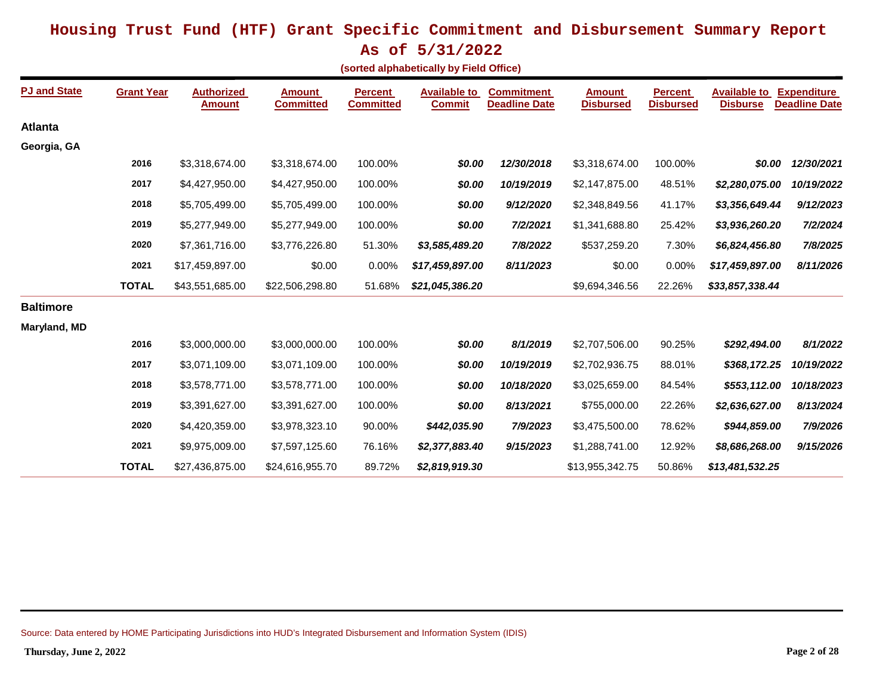**As of 5/31/2022**

|  | (sorted alphabetically by Field Office) |  |  |
|--|-----------------------------------------|--|--|
|--|-----------------------------------------|--|--|

| <b>PJ and State</b> | <b>Grant Year</b> | <b>Authorized</b><br><b>Amount</b> | <b>Amount</b><br><b>Committed</b> | <b>Percent</b><br><b>Committed</b> | <b>Available to</b><br><b>Commit</b> | <b>Commitment</b><br><b>Deadline Date</b> | <b>Amount</b><br><b>Disbursed</b> | <b>Percent</b><br><b>Disbursed</b> | <b>Available to</b><br><b>Disburse</b> | <b>Expenditure</b><br><b>Deadline Date</b> |
|---------------------|-------------------|------------------------------------|-----------------------------------|------------------------------------|--------------------------------------|-------------------------------------------|-----------------------------------|------------------------------------|----------------------------------------|--------------------------------------------|
| <b>Atlanta</b>      |                   |                                    |                                   |                                    |                                      |                                           |                                   |                                    |                                        |                                            |
| Georgia, GA         |                   |                                    |                                   |                                    |                                      |                                           |                                   |                                    |                                        |                                            |
|                     | 2016              | \$3,318,674.00                     | \$3,318,674.00                    | 100.00%                            | \$0.00                               | 12/30/2018                                | \$3,318,674.00                    | 100.00%                            | \$0.00                                 | 12/30/2021                                 |
|                     | 2017              | \$4,427,950.00                     | \$4,427,950.00                    | 100.00%                            | \$0.00                               | 10/19/2019                                | \$2,147,875.00                    | 48.51%                             | \$2,280,075.00                         | 10/19/2022                                 |
|                     | 2018              | \$5,705,499.00                     | \$5,705,499.00                    | 100.00%                            | \$0.00                               | 9/12/2020                                 | \$2,348,849.56                    | 41.17%                             | \$3,356,649.44                         | 9/12/2023                                  |
|                     | 2019              | \$5,277,949.00                     | \$5,277,949.00                    | 100.00%                            | \$0.00                               | 7/2/2021                                  | \$1,341,688.80                    | 25.42%                             | \$3,936,260.20                         | 7/2/2024                                   |
|                     | 2020              | \$7,361,716.00                     | \$3,776,226.80                    | 51.30%                             | \$3,585,489.20                       | 7/8/2022                                  | \$537,259.20                      | 7.30%                              | \$6,824,456.80                         | 7/8/2025                                   |
|                     | 2021              | \$17,459,897.00                    | \$0.00                            | 0.00%                              | \$17,459,897.00                      | 8/11/2023                                 | \$0.00                            | 0.00%                              | \$17,459,897.00                        | 8/11/2026                                  |
|                     | <b>TOTAL</b>      | \$43,551,685.00                    | \$22,506,298.80                   | 51.68%                             | \$21,045,386.20                      |                                           | \$9,694,346.56                    | 22.26%                             | \$33,857,338.44                        |                                            |
| <b>Baltimore</b>    |                   |                                    |                                   |                                    |                                      |                                           |                                   |                                    |                                        |                                            |
| Maryland, MD        |                   |                                    |                                   |                                    |                                      |                                           |                                   |                                    |                                        |                                            |
|                     | 2016              | \$3,000,000.00                     | \$3,000,000.00                    | 100.00%                            | \$0.00                               | 8/1/2019                                  | \$2,707,506.00                    | 90.25%                             | \$292,494.00                           | 8/1/2022                                   |
|                     | 2017              | \$3,071,109.00                     | \$3,071,109.00                    | 100.00%                            | \$0.00                               | 10/19/2019                                | \$2,702,936.75                    | 88.01%                             | \$368,172.25                           | 10/19/2022                                 |
|                     | 2018              | \$3,578,771.00                     | \$3,578,771.00                    | 100.00%                            | \$0.00                               | 10/18/2020                                | \$3,025,659.00                    | 84.54%                             | \$553,112.00                           | 10/18/2023                                 |
|                     | 2019              | \$3,391,627.00                     | \$3,391,627.00                    | 100.00%                            | \$0.00                               | 8/13/2021                                 | \$755,000.00                      | 22.26%                             | \$2,636,627.00                         | 8/13/2024                                  |
|                     | 2020              | \$4,420,359.00                     | \$3,978,323.10                    | 90.00%                             | \$442,035.90                         | 7/9/2023                                  | \$3,475,500.00                    | 78.62%                             | \$944,859.00                           | 7/9/2026                                   |
|                     | 2021              | \$9,975,009.00                     | \$7,597,125.60                    | 76.16%                             | \$2,377,883.40                       | 9/15/2023                                 | \$1,288,741.00                    | 12.92%                             | \$8,686,268.00                         | 9/15/2026                                  |
|                     | <b>TOTAL</b>      | \$27,436,875.00                    | \$24,616,955.70                   | 89.72%                             | \$2,819,919.30                       |                                           | \$13,955,342.75                   | 50.86%                             | \$13,481,532.25                        |                                            |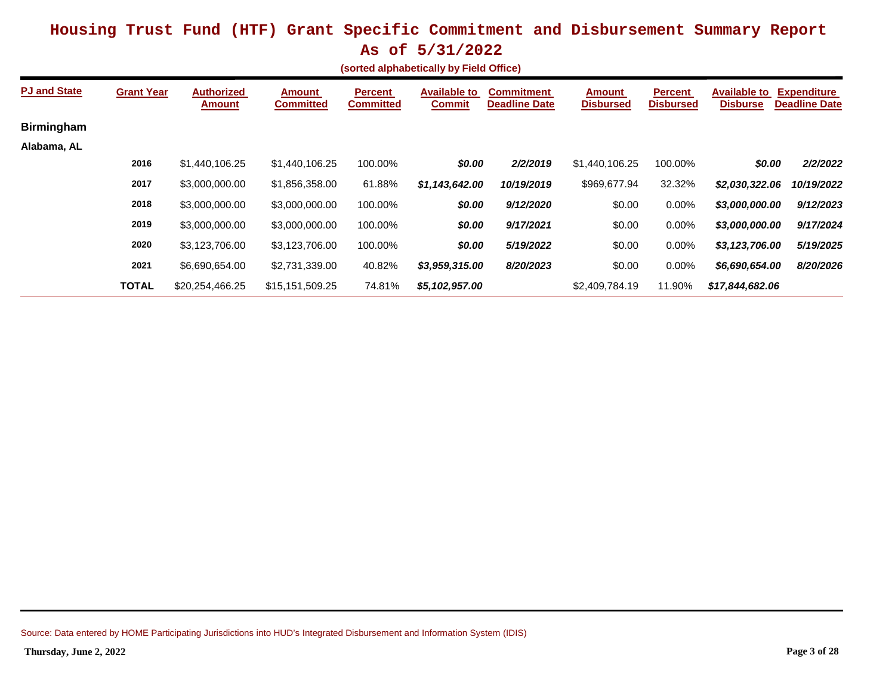|  | (sorted alphabetically by Field Office) |  |  |  |
|--|-----------------------------------------|--|--|--|
|--|-----------------------------------------|--|--|--|

| <b>PJ and State</b> | <b>Grant Year</b> | <b>Authorized</b><br><b>Amount</b> | <b>Amount</b><br><b>Committed</b> | <b>Percent</b><br><b>Committed</b> | <b>Available to</b><br><b>Commit</b> | <b>Commitment</b><br><b>Deadline Date</b> | <b>Amount</b><br><b>Disbursed</b> | <b>Percent</b><br><b>Disbursed</b> | <b>Available to</b><br><b>Disburse</b> | <b>Expenditure</b><br><b>Deadline Date</b> |
|---------------------|-------------------|------------------------------------|-----------------------------------|------------------------------------|--------------------------------------|-------------------------------------------|-----------------------------------|------------------------------------|----------------------------------------|--------------------------------------------|
| <b>Birmingham</b>   |                   |                                    |                                   |                                    |                                      |                                           |                                   |                                    |                                        |                                            |
| Alabama, AL         |                   |                                    |                                   |                                    |                                      |                                           |                                   |                                    |                                        |                                            |
|                     | 2016              | \$1,440,106.25                     | \$1,440,106.25                    | 100.00%                            | \$0.00                               | 2/2/2019                                  | \$1,440,106.25                    | 100.00%                            | \$0.00                                 | 2/2/2022                                   |
|                     | 2017              | \$3,000,000.00                     | \$1,856,358.00                    | 61.88%                             | \$1,143,642.00                       | 10/19/2019                                | \$969,677.94                      | 32.32%                             | \$2,030,322.06                         | 10/19/2022                                 |
|                     | 2018              | \$3,000,000.00                     | \$3,000,000.00                    | 100.00%                            | \$0.00                               | 9/12/2020                                 | \$0.00                            | $0.00\%$                           | \$3,000,000.00                         | 9/12/2023                                  |
|                     | 2019              | \$3,000,000.00                     | \$3,000,000.00                    | 100.00%                            | \$0.00                               | 9/17/2021                                 | \$0.00                            | $0.00\%$                           | \$3,000,000.00                         | 9/17/2024                                  |
|                     | 2020              | \$3,123,706.00                     | \$3,123,706.00                    | 100.00%                            | \$0.00                               | 5/19/2022                                 | \$0.00                            | $0.00\%$                           | \$3,123,706.00                         | 5/19/2025                                  |
|                     | 2021              | \$6,690,654.00                     | \$2,731,339.00                    | 40.82%                             | \$3,959,315.00                       | 8/20/2023                                 | \$0.00                            | 0.00%                              | \$6,690,654.00                         | 8/20/2026                                  |
|                     | <b>TOTAL</b>      | \$20,254,466,25                    | \$15.151.509.25                   | 74.81%                             | \$5,102,957.00                       |                                           | \$2,409,784.19                    | 11.90%                             | \$17.844.682.06                        |                                            |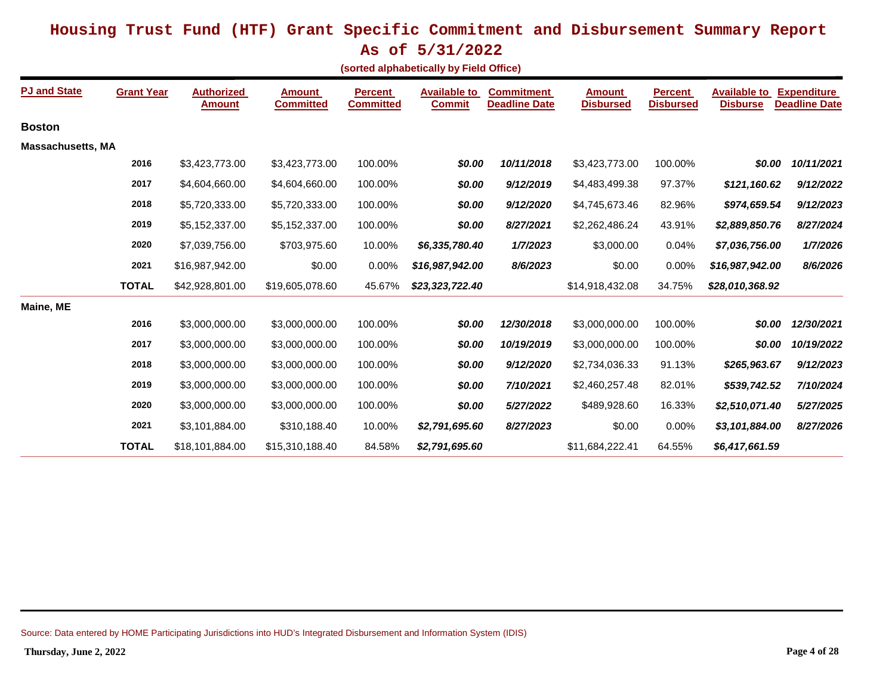**As of 5/31/2022**

**(sorted alphabetically by Field Office)**

| <b>PJ and State</b>      | <b>Grant Year</b> | <b>Authorized</b><br><b>Amount</b> | <b>Amount</b><br><b>Committed</b> | <b>Percent</b><br><b>Committed</b> | <b>Available to</b><br><b>Commit</b> | <b>Commitment</b><br><b>Deadline Date</b> | <b>Amount</b><br><b>Disbursed</b> | <b>Percent</b><br><b>Disbursed</b> | <b>Available to</b><br><b>Disburse</b> | <b>Expenditure</b><br><b>Deadline Date</b> |
|--------------------------|-------------------|------------------------------------|-----------------------------------|------------------------------------|--------------------------------------|-------------------------------------------|-----------------------------------|------------------------------------|----------------------------------------|--------------------------------------------|
| <b>Boston</b>            |                   |                                    |                                   |                                    |                                      |                                           |                                   |                                    |                                        |                                            |
| <b>Massachusetts, MA</b> |                   |                                    |                                   |                                    |                                      |                                           |                                   |                                    |                                        |                                            |
|                          | 2016              | \$3,423,773.00                     | \$3,423,773.00                    | 100.00%                            | \$0.00                               | 10/11/2018                                | \$3,423,773.00                    | 100.00%                            | \$0.00                                 | 10/11/2021                                 |
|                          | 2017              | \$4,604,660.00                     | \$4,604,660.00                    | 100.00%                            | \$0.00                               | 9/12/2019                                 | \$4,483,499.38                    | 97.37%                             | \$121,160.62                           | 9/12/2022                                  |
|                          | 2018              | \$5,720,333.00                     | \$5,720,333.00                    | 100.00%                            | \$0.00                               | 9/12/2020                                 | \$4,745,673.46                    | 82.96%                             | \$974,659.54                           | 9/12/2023                                  |
|                          | 2019              | \$5,152,337.00                     | \$5,152,337.00                    | 100.00%                            | \$0.00                               | 8/27/2021                                 | \$2,262,486.24                    | 43.91%                             | \$2,889,850.76                         | 8/27/2024                                  |
|                          | 2020              | \$7,039,756.00                     | \$703,975.60                      | 10.00%                             | \$6,335,780.40                       | 1/7/2023                                  | \$3,000.00                        | 0.04%                              | \$7,036,756.00                         | 1/7/2026                                   |
|                          | 2021              | \$16,987,942.00                    | \$0.00                            | 0.00%                              | \$16,987,942.00                      | 8/6/2023                                  | \$0.00                            | 0.00%                              | \$16,987,942.00                        | 8/6/2026                                   |
|                          | <b>TOTAL</b>      | \$42,928,801.00                    | \$19,605,078.60                   | 45.67%                             | \$23,323,722.40                      |                                           | \$14,918,432.08                   | 34.75%                             | \$28,010,368.92                        |                                            |
| Maine, ME                |                   |                                    |                                   |                                    |                                      |                                           |                                   |                                    |                                        |                                            |
|                          | 2016              | \$3,000,000.00                     | \$3,000,000.00                    | 100.00%                            | \$0.00                               | 12/30/2018                                | \$3,000,000.00                    | 100.00%                            | \$0.00                                 | 12/30/2021                                 |
|                          | 2017              | \$3,000,000.00                     | \$3,000,000.00                    | 100.00%                            | \$0.00                               | 10/19/2019                                | \$3,000,000.00                    | 100.00%                            | \$0.00                                 | 10/19/2022                                 |
|                          | 2018              | \$3,000,000.00                     | \$3,000,000.00                    | 100.00%                            | \$0.00                               | 9/12/2020                                 | \$2,734,036.33                    | 91.13%                             | \$265,963.67                           | 9/12/2023                                  |
|                          | 2019              | \$3,000,000.00                     | \$3,000,000.00                    | 100.00%                            | \$0.00                               | 7/10/2021                                 | \$2,460,257.48                    | 82.01%                             | \$539,742.52                           | 7/10/2024                                  |
|                          | 2020              | \$3,000,000.00                     | \$3,000,000.00                    | 100.00%                            | \$0.00                               | 5/27/2022                                 | \$489,928.60                      | 16.33%                             | \$2,510,071.40                         | 5/27/2025                                  |
|                          | 2021              | \$3,101,884.00                     | \$310,188.40                      | 10.00%                             | \$2,791,695.60                       | 8/27/2023                                 | \$0.00                            | 0.00%                              | \$3,101,884.00                         | 8/27/2026                                  |
|                          | <b>TOTAL</b>      | \$18,101,884.00                    | \$15,310,188.40                   | 84.58%                             | \$2,791,695.60                       |                                           | \$11,684,222.41                   | 64.55%                             | \$6,417,661.59                         |                                            |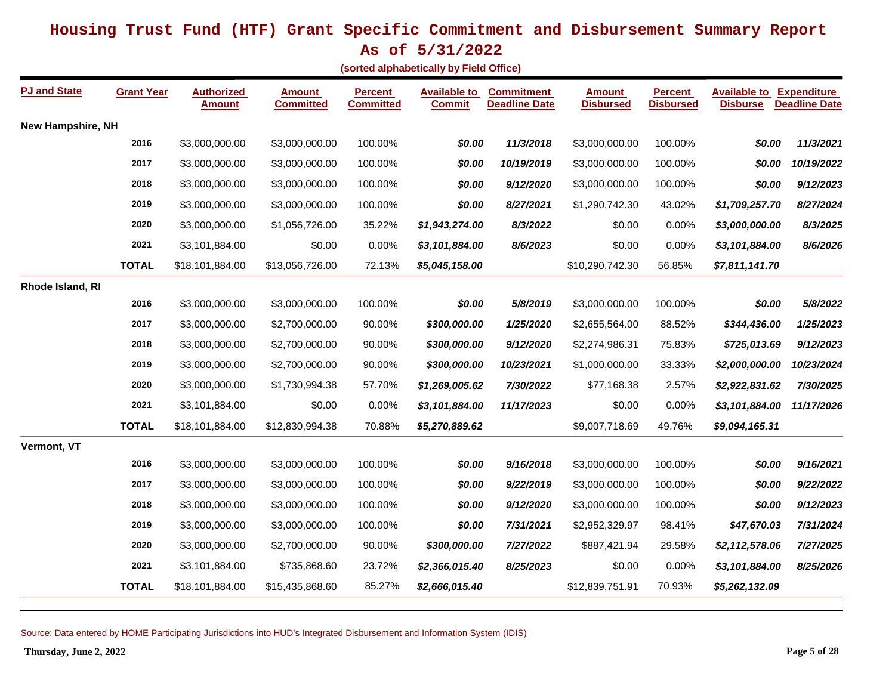**As of 5/31/2022**

**(sorted alphabetically by Field Office)**

| <b>PJ and State</b>      | <b>Grant Year</b> | <b>Authorized</b><br><b>Amount</b> | <b>Amount</b><br><b>Committed</b> | <b>Percent</b><br><b>Committed</b> | <b>Available to</b><br><b>Commit</b> | <b>Commitment</b><br><b>Deadline Date</b> | <b>Amount</b><br><b>Disbursed</b> | <b>Percent</b><br><b>Disbursed</b> | <b>Available to Expenditure</b><br><b>Disburse</b> | <b>Deadline Date</b> |
|--------------------------|-------------------|------------------------------------|-----------------------------------|------------------------------------|--------------------------------------|-------------------------------------------|-----------------------------------|------------------------------------|----------------------------------------------------|----------------------|
| <b>New Hampshire, NH</b> |                   |                                    |                                   |                                    |                                      |                                           |                                   |                                    |                                                    |                      |
|                          | 2016              | \$3,000,000.00                     | \$3,000,000.00                    | 100.00%                            | \$0.00                               | 11/3/2018                                 | \$3,000,000.00                    | 100.00%                            | \$0.00                                             | 11/3/2021            |
|                          | 2017              | \$3,000,000.00                     | \$3,000,000.00                    | 100.00%                            | \$0.00                               | 10/19/2019                                | \$3,000,000.00                    | 100.00%                            | \$0.00                                             | 10/19/2022           |
|                          | 2018              | \$3,000,000.00                     | \$3,000,000.00                    | 100.00%                            | \$0.00                               | 9/12/2020                                 | \$3,000,000.00                    | 100.00%                            | \$0.00                                             | 9/12/2023            |
|                          | 2019              | \$3,000,000.00                     | \$3,000,000.00                    | 100.00%                            | \$0.00                               | 8/27/2021                                 | \$1,290,742.30                    | 43.02%                             | \$1,709,257.70                                     | 8/27/2024            |
|                          | 2020              | \$3,000,000.00                     | \$1,056,726.00                    | 35.22%                             | \$1,943,274.00                       | 8/3/2022                                  | \$0.00                            | 0.00%                              | \$3,000,000.00                                     | 8/3/2025             |
|                          | 2021              | \$3,101,884.00                     | \$0.00                            | 0.00%                              | \$3,101,884.00                       | 8/6/2023                                  | \$0.00                            | 0.00%                              | \$3,101,884.00                                     | 8/6/2026             |
|                          | <b>TOTAL</b>      | \$18,101,884.00                    | \$13,056,726.00                   | 72.13%                             | \$5,045,158.00                       |                                           | \$10,290,742.30                   | 56.85%                             | \$7,811,141.70                                     |                      |
| Rhode Island, RI         |                   |                                    |                                   |                                    |                                      |                                           |                                   |                                    |                                                    |                      |
|                          | 2016              | \$3,000,000.00                     | \$3,000,000.00                    | 100.00%                            | \$0.00                               | 5/8/2019                                  | \$3,000,000.00                    | 100.00%                            | \$0.00                                             | 5/8/2022             |
|                          | 2017              | \$3,000,000.00                     | \$2,700,000.00                    | 90.00%                             | \$300,000.00                         | 1/25/2020                                 | \$2,655,564.00                    | 88.52%                             | \$344,436.00                                       | 1/25/2023            |
|                          | 2018              | \$3,000,000.00                     | \$2,700,000.00                    | 90.00%                             | \$300,000.00                         | 9/12/2020                                 | \$2,274,986.31                    | 75.83%                             | \$725,013.69                                       | 9/12/2023            |
|                          | 2019              | \$3,000,000.00                     | \$2,700,000.00                    | 90.00%                             | \$300,000.00                         | 10/23/2021                                | \$1,000,000.00                    | 33.33%                             | \$2,000,000.00                                     | 10/23/2024           |
|                          | 2020              | \$3,000,000.00                     | \$1,730,994.38                    | 57.70%                             | \$1,269,005.62                       | 7/30/2022                                 | \$77,168.38                       | 2.57%                              | \$2,922,831.62                                     | 7/30/2025            |
|                          | 2021              | \$3,101,884.00                     | \$0.00                            | 0.00%                              | \$3,101,884.00                       | 11/17/2023                                | \$0.00                            | 0.00%                              | \$3,101,884.00                                     | 11/17/2026           |
|                          | <b>TOTAL</b>      | \$18,101,884.00                    | \$12,830,994.38                   | 70.88%                             | \$5,270,889.62                       |                                           | \$9,007,718.69                    | 49.76%                             | \$9,094,165.31                                     |                      |
| Vermont, VT              |                   |                                    |                                   |                                    |                                      |                                           |                                   |                                    |                                                    |                      |
|                          | 2016              | \$3,000,000.00                     | \$3,000,000.00                    | 100.00%                            | \$0.00                               | 9/16/2018                                 | \$3,000,000.00                    | 100.00%                            | \$0.00                                             | 9/16/2021            |
|                          | 2017              | \$3,000,000.00                     | \$3,000,000.00                    | 100.00%                            | \$0.00                               | 9/22/2019                                 | \$3,000,000.00                    | 100.00%                            | \$0.00                                             | 9/22/2022            |
|                          | 2018              | \$3,000,000.00                     | \$3,000,000.00                    | 100.00%                            | \$0.00                               | 9/12/2020                                 | \$3,000,000.00                    | 100.00%                            | \$0.00                                             | 9/12/2023            |
|                          | 2019              | \$3,000,000.00                     | \$3,000,000.00                    | 100.00%                            | \$0.00                               | 7/31/2021                                 | \$2,952,329.97                    | 98.41%                             | \$47,670.03                                        | 7/31/2024            |
|                          | 2020              | \$3,000,000.00                     | \$2,700,000.00                    | 90.00%                             | \$300,000.00                         | 7/27/2022                                 | \$887,421.94                      | 29.58%                             | \$2,112,578.06                                     | 7/27/2025            |
|                          | 2021              | \$3,101,884.00                     | \$735,868.60                      | 23.72%                             | \$2,366,015.40                       | 8/25/2023                                 | \$0.00                            | 0.00%                              | \$3,101,884.00                                     | 8/25/2026            |
|                          | <b>TOTAL</b>      | \$18,101,884.00                    | \$15,435,868.60                   | 85.27%                             | \$2,666,015.40                       |                                           | \$12,839,751.91                   | 70.93%                             | \$5,262,132.09                                     |                      |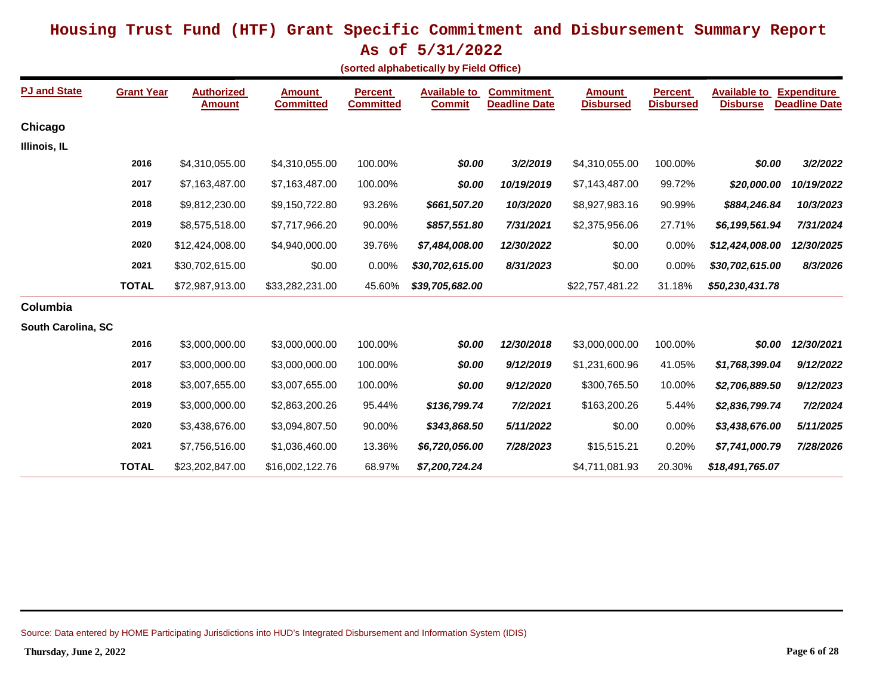**As of 5/31/2022**

|  | sorted alphabetically by Field Office) |  |  |  |
|--|----------------------------------------|--|--|--|
|--|----------------------------------------|--|--|--|

| <b>PJ and State</b> | <b>Grant Year</b> | <b>Authorized</b><br><u>Amount</u> | <b>Amount</b><br><b>Committed</b> | <b>Percent</b><br><b>Committed</b> | <b>Available to</b><br><b>Commit</b> | <b>Commitment</b><br><b>Deadline Date</b> | <b>Amount</b><br><b>Disbursed</b> | <b>Percent</b><br><b>Disbursed</b> | <b>Available to</b><br><b>Disburse</b> | <b>Expenditure</b><br><b>Deadline Date</b> |
|---------------------|-------------------|------------------------------------|-----------------------------------|------------------------------------|--------------------------------------|-------------------------------------------|-----------------------------------|------------------------------------|----------------------------------------|--------------------------------------------|
| Chicago             |                   |                                    |                                   |                                    |                                      |                                           |                                   |                                    |                                        |                                            |
| Illinois, IL        |                   |                                    |                                   |                                    |                                      |                                           |                                   |                                    |                                        |                                            |
|                     | 2016              | \$4,310,055.00                     | \$4,310,055.00                    | 100.00%                            | \$0.00                               | 3/2/2019                                  | \$4,310,055.00                    | 100.00%                            | \$0.00                                 | 3/2/2022                                   |
|                     | 2017              | \$7,163,487.00                     | \$7,163,487.00                    | 100.00%                            | \$0.00                               | 10/19/2019                                | \$7,143,487.00                    | 99.72%                             | \$20,000.00                            | 10/19/2022                                 |
|                     | 2018              | \$9,812,230.00                     | \$9,150,722.80                    | 93.26%                             | \$661,507.20                         | 10/3/2020                                 | \$8,927,983.16                    | 90.99%                             | \$884,246.84                           | 10/3/2023                                  |
|                     | 2019              | \$8,575,518.00                     | \$7,717,966.20                    | 90.00%                             | \$857,551.80                         | 7/31/2021                                 | \$2,375,956.06                    | 27.71%                             | \$6,199,561.94                         | 7/31/2024                                  |
|                     | 2020              | \$12,424,008.00                    | \$4,940,000.00                    | 39.76%                             | \$7,484,008.00                       | 12/30/2022                                | \$0.00                            | 0.00%                              | \$12,424,008.00                        | 12/30/2025                                 |
|                     | 2021              | \$30,702,615.00                    | \$0.00                            | 0.00%                              | \$30,702,615.00                      | 8/31/2023                                 | \$0.00                            | 0.00%                              | \$30,702,615.00                        | 8/3/2026                                   |
|                     | <b>TOTAL</b>      | \$72,987,913.00                    | \$33,282,231.00                   | 45.60%                             | \$39,705,682.00                      |                                           | \$22,757,481.22                   | 31.18%                             | \$50,230,431.78                        |                                            |
| Columbia            |                   |                                    |                                   |                                    |                                      |                                           |                                   |                                    |                                        |                                            |
| South Carolina, SC  |                   |                                    |                                   |                                    |                                      |                                           |                                   |                                    |                                        |                                            |
|                     | 2016              | \$3,000,000.00                     | \$3,000,000.00                    | 100.00%                            | \$0.00                               | 12/30/2018                                | \$3,000,000.00                    | 100.00%                            | \$0.00                                 | 12/30/2021                                 |
|                     | 2017              | \$3,000,000.00                     | \$3,000,000.00                    | 100.00%                            | \$0.00                               | 9/12/2019                                 | \$1,231,600.96                    | 41.05%                             | \$1,768,399.04                         | 9/12/2022                                  |
|                     | 2018              | \$3,007,655.00                     | \$3,007,655.00                    | 100.00%                            | \$0.00                               | 9/12/2020                                 | \$300,765.50                      | 10.00%                             | \$2,706,889.50                         | 9/12/2023                                  |
|                     | 2019              | \$3,000,000.00                     | \$2,863,200.26                    | 95.44%                             | \$136,799.74                         | 7/2/2021                                  | \$163,200.26                      | 5.44%                              | \$2,836,799.74                         | 7/2/2024                                   |
|                     | 2020              | \$3,438,676.00                     | \$3,094,807.50                    | 90.00%                             | \$343,868.50                         | 5/11/2022                                 | \$0.00                            | 0.00%                              | \$3,438,676.00                         | 5/11/2025                                  |
|                     | 2021              | \$7,756,516.00                     | \$1,036,460.00                    | 13.36%                             | \$6,720,056.00                       | 7/28/2023                                 | \$15,515.21                       | 0.20%                              | \$7,741,000.79                         | 7/28/2026                                  |
|                     | <b>TOTAL</b>      | \$23,202,847.00                    | \$16,002,122.76                   | 68.97%                             | \$7,200,724.24                       |                                           | \$4,711,081.93                    | 20.30%                             | \$18,491,765.07                        |                                            |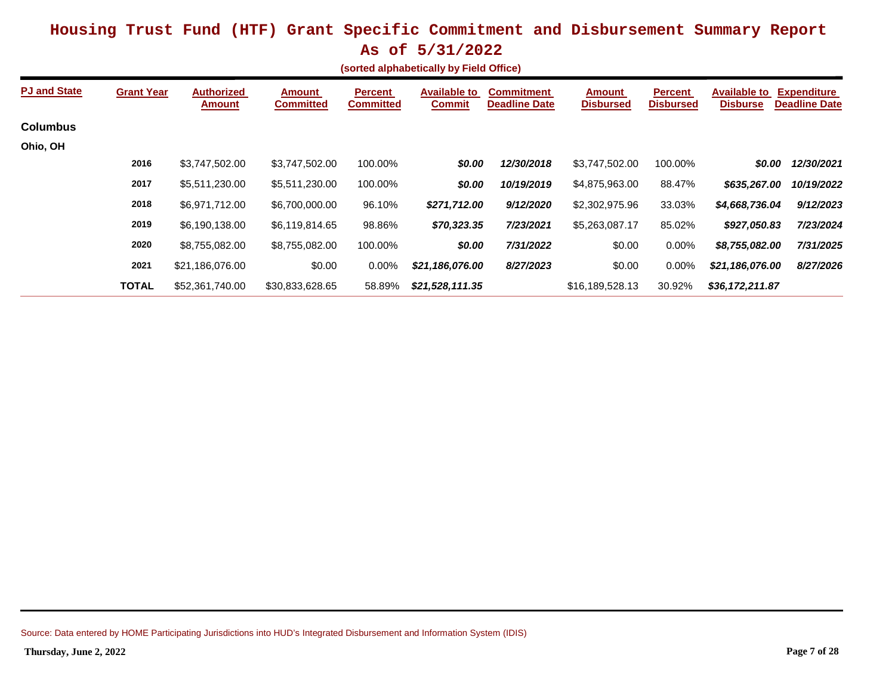|                                         | **~ ~* ~/ ~*/ <b>***</b> |  |  |
|-----------------------------------------|--------------------------|--|--|
| (sorted alphabetically by Field Office) |                          |  |  |

| <b>PJ and State</b> | <b>Grant Year</b> | <b>Authorized</b><br><b>Amount</b> | <b>Amount</b><br><b>Committed</b> | <b>Percent</b><br><b>Committed</b> | <b>Available to</b><br><b>Commit</b> | <b>Commitment</b><br><b>Deadline Date</b> | <b>Amount</b><br><b>Disbursed</b> | <b>Percent</b><br><b>Disbursed</b> | <b>Available to</b><br><b>Disburse</b> | <b>Expenditure</b><br><b>Deadline Date</b> |
|---------------------|-------------------|------------------------------------|-----------------------------------|------------------------------------|--------------------------------------|-------------------------------------------|-----------------------------------|------------------------------------|----------------------------------------|--------------------------------------------|
| <b>Columbus</b>     |                   |                                    |                                   |                                    |                                      |                                           |                                   |                                    |                                        |                                            |
| Ohio, OH            |                   |                                    |                                   |                                    |                                      |                                           |                                   |                                    |                                        |                                            |
|                     | 2016              | \$3,747,502.00                     | \$3,747,502.00                    | 100.00%                            | \$0.00                               | 12/30/2018                                | \$3,747,502.00                    | 100.00%                            | \$0.00                                 | 12/30/2021                                 |
|                     | 2017              | \$5,511,230.00                     | \$5,511,230.00                    | 100.00%                            | \$0.00                               | 10/19/2019                                | \$4,875,963.00                    | 88.47%                             | \$635,267.00                           | 10/19/2022                                 |
|                     | 2018              | \$6,971,712.00                     | \$6,700,000.00                    | 96.10%                             | \$271,712.00                         | 9/12/2020                                 | \$2,302,975.96                    | 33.03%                             | \$4,668,736.04                         | 9/12/2023                                  |
|                     | 2019              | \$6,190,138.00                     | \$6,119,814.65                    | 98.86%                             | \$70,323.35                          | 7/23/2021                                 | \$5,263,087.17                    | 85.02%                             | \$927,050.83                           | 7/23/2024                                  |
|                     | 2020              | \$8,755,082.00                     | \$8,755,082.00                    | 100.00%                            | \$0.00                               | 7/31/2022                                 | \$0.00                            | 0.00%                              | \$8,755,082.00                         | 7/31/2025                                  |
|                     | 2021              | \$21,186,076.00                    | \$0.00                            | $0.00\%$                           | \$21,186,076.00                      | 8/27/2023                                 | \$0.00                            | $0.00\%$                           | \$21,186,076.00                        | 8/27/2026                                  |
|                     | <b>TOTAL</b>      | \$52,361,740.00                    | \$30,833,628.65                   | 58.89%                             | \$21,528,111.35                      |                                           | \$16,189,528.13                   | 30.92%                             | \$36,172,211.87                        |                                            |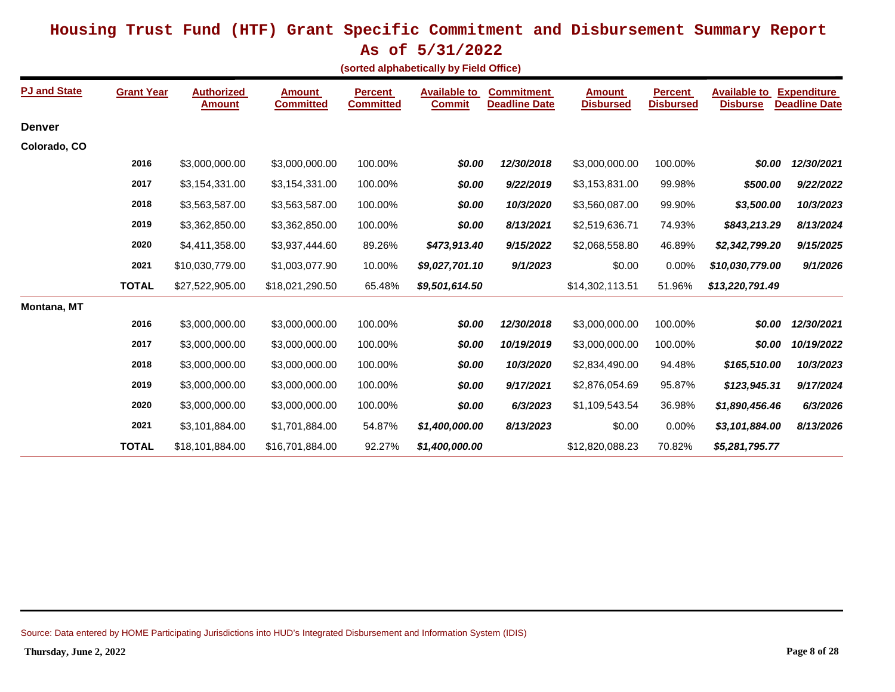**As of 5/31/2022**

**(sorted alphabetically by Field Office)**

| <b>PJ and State</b> | <b>Grant Year</b> | <b>Authorized</b><br><b>Amount</b> | <b>Amount</b><br><b>Committed</b> | <b>Percent</b><br><b>Committed</b> | <b>Available to</b><br><b>Commit</b> | <b>Commitment</b><br><b>Deadline Date</b> | <b>Amount</b><br><b>Disbursed</b> | <b>Percent</b><br><b>Disbursed</b> | <b>Available to</b><br><b>Disburse</b> | <b>Expenditure</b><br><b>Deadline Date</b> |
|---------------------|-------------------|------------------------------------|-----------------------------------|------------------------------------|--------------------------------------|-------------------------------------------|-----------------------------------|------------------------------------|----------------------------------------|--------------------------------------------|
| <b>Denver</b>       |                   |                                    |                                   |                                    |                                      |                                           |                                   |                                    |                                        |                                            |
| Colorado, CO        |                   |                                    |                                   |                                    |                                      |                                           |                                   |                                    |                                        |                                            |
|                     | 2016              | \$3,000,000.00                     | \$3,000,000.00                    | 100.00%                            | \$0.00                               | 12/30/2018                                | \$3,000,000.00                    | 100.00%                            | \$0.00                                 | 12/30/2021                                 |
|                     | 2017              | \$3,154,331.00                     | \$3,154,331.00                    | 100.00%                            | \$0.00                               | 9/22/2019                                 | \$3,153,831.00                    | 99.98%                             | \$500.00                               | 9/22/2022                                  |
|                     | 2018              | \$3,563,587.00                     | \$3,563,587.00                    | 100.00%                            | \$0.00                               | 10/3/2020                                 | \$3,560,087.00                    | 99.90%                             | \$3,500.00                             | 10/3/2023                                  |
|                     | 2019              | \$3,362,850.00                     | \$3,362,850.00                    | 100.00%                            | \$0.00                               | 8/13/2021                                 | \$2,519,636.71                    | 74.93%                             | \$843,213.29                           | 8/13/2024                                  |
|                     | 2020              | \$4,411,358.00                     | \$3,937,444.60                    | 89.26%                             | \$473,913.40                         | 9/15/2022                                 | \$2,068,558.80                    | 46.89%                             | \$2,342,799.20                         | 9/15/2025                                  |
|                     | 2021              | \$10,030,779.00                    | \$1,003,077.90                    | 10.00%                             | \$9,027,701.10                       | 9/1/2023                                  | \$0.00                            | 0.00%                              | \$10,030,779.00                        | 9/1/2026                                   |
|                     | <b>TOTAL</b>      | \$27,522,905.00                    | \$18,021,290.50                   | 65.48%                             | \$9,501,614.50                       |                                           | \$14,302,113.51                   | 51.96%                             | \$13,220,791.49                        |                                            |
| <b>Montana, MT</b>  |                   |                                    |                                   |                                    |                                      |                                           |                                   |                                    |                                        |                                            |
|                     | 2016              | \$3,000,000.00                     | \$3,000,000.00                    | 100.00%                            | \$0.00                               | 12/30/2018                                | \$3,000,000.00                    | 100.00%                            | \$0.00                                 | 12/30/2021                                 |
|                     | 2017              | \$3,000,000.00                     | \$3,000,000.00                    | 100.00%                            | \$0.00                               | 10/19/2019                                | \$3,000,000.00                    | 100.00%                            | \$0.00                                 | 10/19/2022                                 |
|                     | 2018              | \$3,000,000.00                     | \$3,000,000.00                    | 100.00%                            | \$0.00                               | 10/3/2020                                 | \$2,834,490.00                    | 94.48%                             | \$165,510.00                           | 10/3/2023                                  |
|                     | 2019              | \$3,000,000.00                     | \$3,000,000.00                    | 100.00%                            | \$0.00                               | 9/17/2021                                 | \$2,876,054.69                    | 95.87%                             | \$123,945.31                           | 9/17/2024                                  |
|                     | 2020              | \$3,000,000.00                     | \$3,000,000.00                    | 100.00%                            | \$0.00                               | 6/3/2023                                  | \$1,109,543.54                    | 36.98%                             | \$1,890,456.46                         | 6/3/2026                                   |
|                     | 2021              | \$3,101,884.00                     | \$1,701,884.00                    | 54.87%                             | \$1,400,000.00                       | 8/13/2023                                 | \$0.00                            | 0.00%                              | \$3,101,884.00                         | 8/13/2026                                  |
|                     | <b>TOTAL</b>      | \$18,101,884.00                    | \$16,701,884.00                   | 92.27%                             | \$1,400,000.00                       |                                           | \$12,820,088.23                   | 70.82%                             | \$5,281,795.77                         |                                            |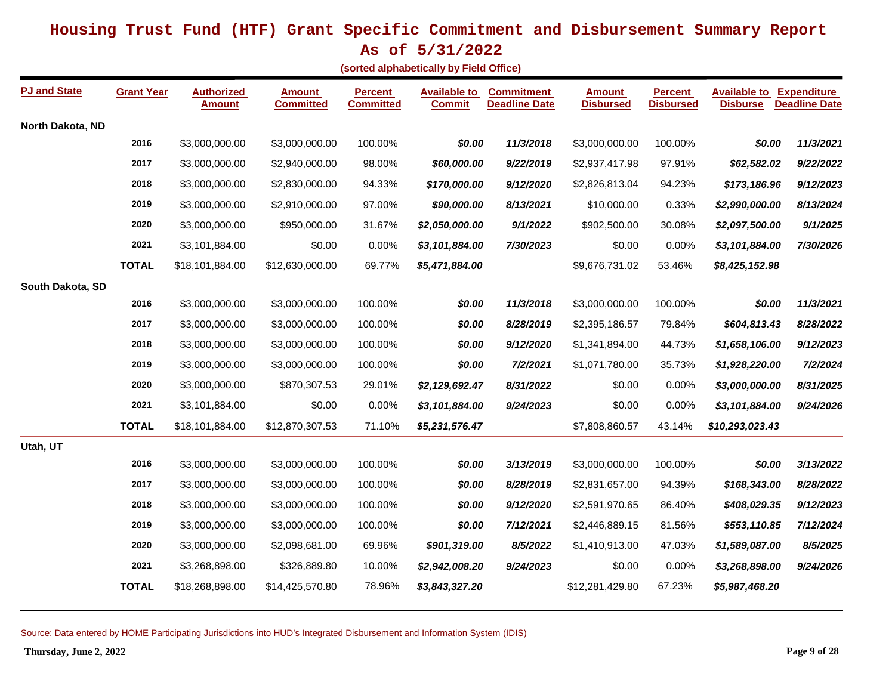**As of 5/31/2022**

**(sorted alphabetically by Field Office)**

| <b>PJ and State</b> | <b>Grant Year</b> | <b>Authorized</b><br><b>Amount</b> | <b>Amount</b><br><b>Committed</b> | <b>Percent</b><br><b>Committed</b> | <b>Available to</b><br><b>Commit</b> | <b>Commitment</b><br><b>Deadline Date</b> | <b>Amount</b><br><b>Disbursed</b> | <b>Percent</b><br>Disbursed | <b>Available to Expenditure</b><br><b>Disburse</b> | <b>Deadline Date</b> |
|---------------------|-------------------|------------------------------------|-----------------------------------|------------------------------------|--------------------------------------|-------------------------------------------|-----------------------------------|-----------------------------|----------------------------------------------------|----------------------|
| North Dakota, ND    |                   |                                    |                                   |                                    |                                      |                                           |                                   |                             |                                                    |                      |
|                     | 2016              | \$3,000,000.00                     | \$3,000,000.00                    | 100.00%                            | \$0.00                               | 11/3/2018                                 | \$3,000,000.00                    | 100.00%                     | \$0.00                                             | 11/3/2021            |
|                     | 2017              | \$3,000,000.00                     | \$2,940,000.00                    | 98.00%                             | \$60,000.00                          | 9/22/2019                                 | \$2,937,417.98                    | 97.91%                      | \$62,582.02                                        | 9/22/2022            |
|                     | 2018              | \$3,000,000.00                     | \$2,830,000.00                    | 94.33%                             | \$170,000.00                         | 9/12/2020                                 | \$2,826,813.04                    | 94.23%                      | \$173,186.96                                       | 9/12/2023            |
|                     | 2019              | \$3,000,000.00                     | \$2,910,000.00                    | 97.00%                             | \$90,000.00                          | 8/13/2021                                 | \$10,000.00                       | 0.33%                       | \$2,990,000.00                                     | 8/13/2024            |
|                     | 2020              | \$3,000,000.00                     | \$950,000.00                      | 31.67%                             | \$2,050,000.00                       | 9/1/2022                                  | \$902,500.00                      | 30.08%                      | \$2,097,500.00                                     | 9/1/2025             |
|                     | 2021              | \$3,101,884.00                     | \$0.00                            | 0.00%                              | \$3,101,884.00                       | 7/30/2023                                 | \$0.00                            | 0.00%                       | \$3,101,884.00                                     | 7/30/2026            |
|                     | <b>TOTAL</b>      | \$18,101,884.00                    | \$12,630,000.00                   | 69.77%                             | \$5,471,884.00                       |                                           | \$9,676,731.02                    | 53.46%                      | \$8,425,152.98                                     |                      |
| South Dakota, SD    |                   |                                    |                                   |                                    |                                      |                                           |                                   |                             |                                                    |                      |
|                     | 2016              | \$3,000,000.00                     | \$3,000,000.00                    | 100.00%                            | \$0.00                               | 11/3/2018                                 | \$3,000,000.00                    | 100.00%                     | \$0.00                                             | 11/3/2021            |
|                     | 2017              | \$3,000,000.00                     | \$3,000,000.00                    | 100.00%                            | \$0.00                               | 8/28/2019                                 | \$2,395,186.57                    | 79.84%                      | \$604,813.43                                       | 8/28/2022            |
|                     | 2018              | \$3,000,000.00                     | \$3,000,000.00                    | 100.00%                            | \$0.00                               | 9/12/2020                                 | \$1,341,894.00                    | 44.73%                      | \$1,658,106.00                                     | 9/12/2023            |
|                     | 2019              | \$3,000,000.00                     | \$3,000,000.00                    | 100.00%                            | \$0.00                               | 7/2/2021                                  | \$1,071,780.00                    | 35.73%                      | \$1,928,220.00                                     | 7/2/2024             |
|                     | 2020              | \$3,000,000.00                     | \$870,307.53                      | 29.01%                             | \$2,129,692.47                       | 8/31/2022                                 | \$0.00                            | 0.00%                       | \$3,000,000.00                                     | 8/31/2025            |
|                     | 2021              | \$3,101,884.00                     | \$0.00                            | 0.00%                              | \$3,101,884.00                       | 9/24/2023                                 | \$0.00                            | 0.00%                       | \$3,101,884.00                                     | 9/24/2026            |
|                     | <b>TOTAL</b>      | \$18,101,884.00                    | \$12,870,307.53                   | 71.10%                             | \$5,231,576.47                       |                                           | \$7,808,860.57                    | 43.14%                      | \$10,293,023.43                                    |                      |
| Utah, UT            |                   |                                    |                                   |                                    |                                      |                                           |                                   |                             |                                                    |                      |
|                     | 2016              | \$3,000,000.00                     | \$3,000,000.00                    | 100.00%                            | \$0.00                               | 3/13/2019                                 | \$3,000,000.00                    | 100.00%                     | \$0.00                                             | 3/13/2022            |
|                     | 2017              | \$3,000,000.00                     | \$3,000,000.00                    | 100.00%                            | \$0.00                               | 8/28/2019                                 | \$2,831,657.00                    | 94.39%                      | \$168,343.00                                       | 8/28/2022            |
|                     | 2018              | \$3,000,000.00                     | \$3,000,000.00                    | 100.00%                            | \$0.00                               | 9/12/2020                                 | \$2,591,970.65                    | 86.40%                      | \$408,029.35                                       | 9/12/2023            |
|                     | 2019              | \$3,000,000.00                     | \$3,000,000.00                    | 100.00%                            | \$0.00                               | 7/12/2021                                 | \$2,446,889.15                    | 81.56%                      | \$553,110.85                                       | 7/12/2024            |
|                     | 2020              | \$3,000,000.00                     | \$2,098,681.00                    | 69.96%                             | \$901,319.00                         | 8/5/2022                                  | \$1,410,913.00                    | 47.03%                      | \$1,589,087.00                                     | 8/5/2025             |
|                     | 2021              | \$3,268,898.00                     | \$326,889.80                      | 10.00%                             | \$2,942,008.20                       | 9/24/2023                                 | \$0.00                            | 0.00%                       | \$3,268,898.00                                     | 9/24/2026            |
|                     | <b>TOTAL</b>      | \$18,268,898.00                    | \$14,425,570.80                   | 78.96%                             | \$3,843,327.20                       |                                           | \$12,281,429.80                   | 67.23%                      | \$5,987,468.20                                     |                      |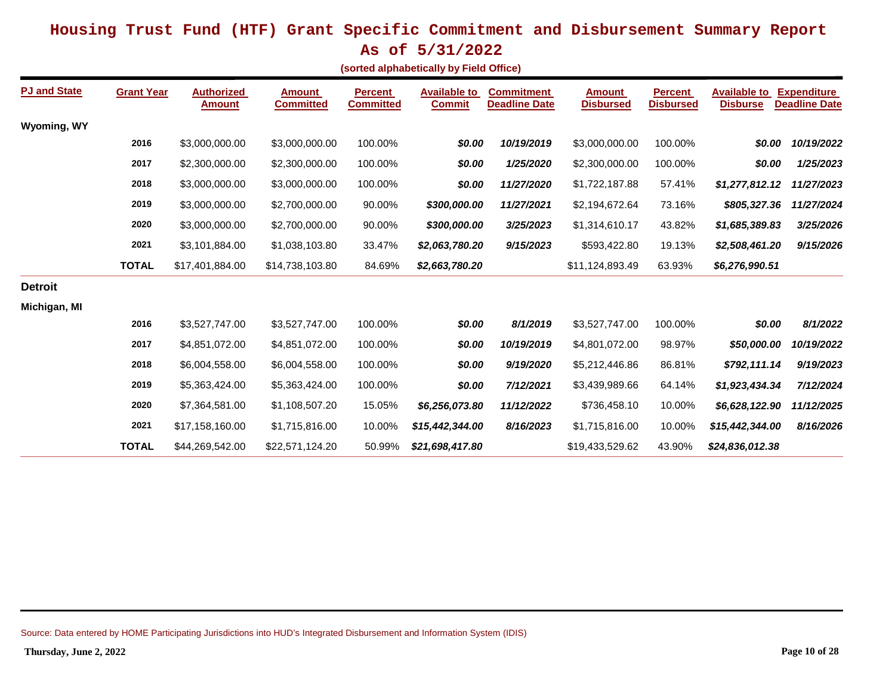**As of 5/31/2022**

|  | (sorted alphabetically by Field Office) |  |  |  |
|--|-----------------------------------------|--|--|--|
|--|-----------------------------------------|--|--|--|

| <b>PJ and State</b> | <b>Grant Year</b> | <b>Authorized</b><br><b>Amount</b> | Amount<br><b>Committed</b> | <b>Percent</b><br><b>Committed</b> | <b>Available to</b><br><b>Commit</b> | <b>Commitment</b><br><b>Deadline Date</b> | <b>Amount</b><br><b>Disbursed</b> | <b>Percent</b><br><b>Disbursed</b> | <b>Available to</b><br><b>Disburse</b> | <b>Expenditure</b><br><b>Deadline Date</b> |
|---------------------|-------------------|------------------------------------|----------------------------|------------------------------------|--------------------------------------|-------------------------------------------|-----------------------------------|------------------------------------|----------------------------------------|--------------------------------------------|
| Wyoming, WY         |                   |                                    |                            |                                    |                                      |                                           |                                   |                                    |                                        |                                            |
|                     | 2016              | \$3,000,000.00                     | \$3,000,000.00             | 100.00%                            | \$0.00                               | 10/19/2019                                | \$3,000,000.00                    | 100.00%                            | \$0.00                                 | 10/19/2022                                 |
|                     | 2017              | \$2,300,000.00                     | \$2,300,000.00             | 100.00%                            | \$0.00                               | 1/25/2020                                 | \$2,300,000.00                    | 100.00%                            | \$0.00                                 | 1/25/2023                                  |
|                     | 2018              | \$3,000,000.00                     | \$3,000,000.00             | 100.00%                            | \$0.00                               | 11/27/2020                                | \$1,722,187.88                    | 57.41%                             | \$1,277,812.12                         | 11/27/2023                                 |
|                     | 2019              | \$3,000,000.00                     | \$2,700,000.00             | 90.00%                             | \$300,000.00                         | 11/27/2021                                | \$2,194,672.64                    | 73.16%                             | \$805,327.36                           | 11/27/2024                                 |
|                     | 2020              | \$3,000,000.00                     | \$2,700,000.00             | 90.00%                             | \$300,000.00                         | 3/25/2023                                 | \$1,314,610.17                    | 43.82%                             | \$1,685,389.83                         | 3/25/2026                                  |
|                     | 2021              | \$3,101,884.00                     | \$1,038,103.80             | 33.47%                             | \$2,063,780.20                       | 9/15/2023                                 | \$593,422.80                      | 19.13%                             | \$2,508,461.20                         | 9/15/2026                                  |
|                     | <b>TOTAL</b>      | \$17,401,884.00                    | \$14,738,103.80            | 84.69%                             | \$2,663,780.20                       |                                           | \$11,124,893.49                   | 63.93%                             | \$6,276,990.51                         |                                            |
| <b>Detroit</b>      |                   |                                    |                            |                                    |                                      |                                           |                                   |                                    |                                        |                                            |
| Michigan, MI        |                   |                                    |                            |                                    |                                      |                                           |                                   |                                    |                                        |                                            |
|                     | 2016              | \$3,527,747.00                     | \$3,527,747.00             | 100.00%                            | \$0.00                               | 8/1/2019                                  | \$3,527,747.00                    | 100.00%                            | \$0.00                                 | 8/1/2022                                   |
|                     | 2017              | \$4,851,072.00                     | \$4,851,072.00             | 100.00%                            | \$0.00                               | 10/19/2019                                | \$4,801,072.00                    | 98.97%                             | \$50,000.00                            | 10/19/2022                                 |
|                     | 2018              | \$6,004,558.00                     | \$6,004,558.00             | 100.00%                            | \$0.00                               | 9/19/2020                                 | \$5,212,446.86                    | 86.81%                             | \$792,111.14                           | 9/19/2023                                  |
|                     | 2019              | \$5,363,424.00                     | \$5,363,424.00             | 100.00%                            | \$0.00                               | 7/12/2021                                 | \$3,439,989.66                    | 64.14%                             | \$1,923,434.34                         | 7/12/2024                                  |
|                     | 2020              | \$7,364,581.00                     | \$1,108,507.20             | 15.05%                             | \$6,256,073.80                       | 11/12/2022                                | \$736,458.10                      | 10.00%                             | \$6,628,122.90                         | 11/12/2025                                 |
|                     | 2021              | \$17,158,160.00                    | \$1,715,816.00             | 10.00%                             | \$15,442,344.00                      | 8/16/2023                                 | \$1,715,816.00                    | 10.00%                             | \$15,442,344.00                        | 8/16/2026                                  |
|                     | <b>TOTAL</b>      | \$44,269,542.00                    | \$22,571,124.20            | 50.99%                             | \$21,698,417.80                      |                                           | \$19,433,529.62                   | 43.90%                             | \$24,836,012.38                        |                                            |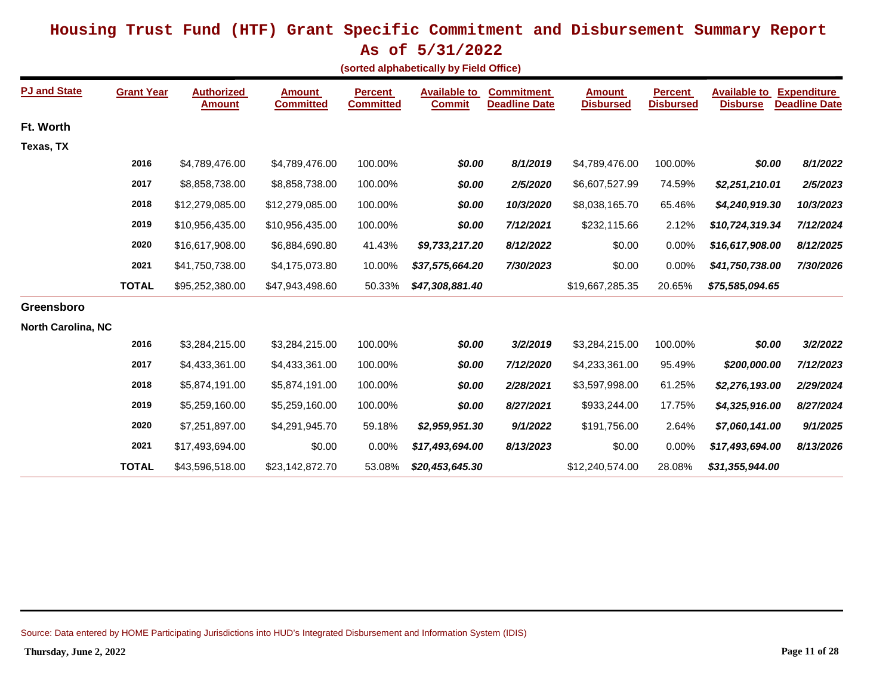**As of 5/31/2022**

|  | (sorted alphabetically by Field Office) |  |  |
|--|-----------------------------------------|--|--|
|--|-----------------------------------------|--|--|

| <b>PJ and State</b>       | <b>Grant Year</b> | <b>Authorized</b><br><b>Amount</b> | <b>Amount</b><br><b>Committed</b> | <b>Percent</b><br><b>Committed</b> | <b>Available to</b><br><b>Commit</b> | <b>Commitment</b><br><b>Deadline Date</b> | <b>Amount</b><br><b>Disbursed</b> | <b>Percent</b><br><b>Disbursed</b> | <b>Available to</b><br><b>Disburse</b> | <b>Expenditure</b><br><b>Deadline Date</b> |
|---------------------------|-------------------|------------------------------------|-----------------------------------|------------------------------------|--------------------------------------|-------------------------------------------|-----------------------------------|------------------------------------|----------------------------------------|--------------------------------------------|
| Ft. Worth                 |                   |                                    |                                   |                                    |                                      |                                           |                                   |                                    |                                        |                                            |
| Texas, TX                 |                   |                                    |                                   |                                    |                                      |                                           |                                   |                                    |                                        |                                            |
|                           | 2016              | \$4,789,476.00                     | \$4,789,476.00                    | 100.00%                            | \$0.00                               | 8/1/2019                                  | \$4,789,476.00                    | 100.00%                            | \$0.00                                 | 8/1/2022                                   |
|                           | 2017              | \$8,858,738.00                     | \$8,858,738.00                    | 100.00%                            | \$0.00                               | 2/5/2020                                  | \$6,607,527.99                    | 74.59%                             | \$2,251,210.01                         | 2/5/2023                                   |
|                           | 2018              | \$12,279,085.00                    | \$12,279,085.00                   | 100.00%                            | \$0.00                               | 10/3/2020                                 | \$8,038,165.70                    | 65.46%                             | \$4,240,919.30                         | 10/3/2023                                  |
|                           | 2019              | \$10,956,435.00                    | \$10,956,435.00                   | 100.00%                            | \$0.00                               | 7/12/2021                                 | \$232,115.66                      | 2.12%                              | \$10,724,319.34                        | 7/12/2024                                  |
|                           | 2020              | \$16,617,908.00                    | \$6,884,690.80                    | 41.43%                             | \$9,733,217.20                       | 8/12/2022                                 | \$0.00                            | 0.00%                              | \$16,617,908.00                        | 8/12/2025                                  |
|                           | 2021              | \$41,750,738.00                    | \$4,175,073.80                    | 10.00%                             | \$37,575,664.20                      | 7/30/2023                                 | \$0.00                            | 0.00%                              | \$41,750,738.00                        | 7/30/2026                                  |
|                           | <b>TOTAL</b>      | \$95,252,380.00                    | \$47,943,498.60                   | 50.33%                             | \$47,308,881.40                      |                                           | \$19,667,285.35                   | 20.65%                             | \$75,585,094.65                        |                                            |
| Greensboro                |                   |                                    |                                   |                                    |                                      |                                           |                                   |                                    |                                        |                                            |
| <b>North Carolina, NC</b> |                   |                                    |                                   |                                    |                                      |                                           |                                   |                                    |                                        |                                            |
|                           | 2016              | \$3,284,215.00                     | \$3,284,215.00                    | 100.00%                            | \$0.00                               | 3/2/2019                                  | \$3,284,215.00                    | 100.00%                            | \$0.00                                 | 3/2/2022                                   |
|                           | 2017              | \$4,433,361.00                     | \$4,433,361.00                    | 100.00%                            | \$0.00                               | 7/12/2020                                 | \$4,233,361.00                    | 95.49%                             | \$200,000.00                           | 7/12/2023                                  |
|                           | 2018              | \$5,874,191.00                     | \$5,874,191.00                    | 100.00%                            | \$0.00                               | 2/28/2021                                 | \$3,597,998.00                    | 61.25%                             | \$2,276,193.00                         | 2/29/2024                                  |
|                           | 2019              | \$5,259,160.00                     | \$5,259,160.00                    | 100.00%                            | \$0.00                               | 8/27/2021                                 | \$933,244.00                      | 17.75%                             | \$4,325,916.00                         | 8/27/2024                                  |
|                           | 2020              | \$7,251,897.00                     | \$4,291,945.70                    | 59.18%                             | \$2,959,951.30                       | 9/1/2022                                  | \$191,756.00                      | 2.64%                              | \$7,060,141.00                         | 9/1/2025                                   |
|                           | 2021              | \$17,493,694.00                    | \$0.00                            | 0.00%                              | \$17,493,694.00                      | 8/13/2023                                 | \$0.00                            | 0.00%                              | \$17,493,694.00                        | 8/13/2026                                  |
|                           | <b>TOTAL</b>      | \$43,596,518.00                    | \$23,142,872.70                   | 53.08%                             | \$20,453,645.30                      |                                           | \$12,240,574.00                   | 28.08%                             | \$31,355,944.00                        |                                            |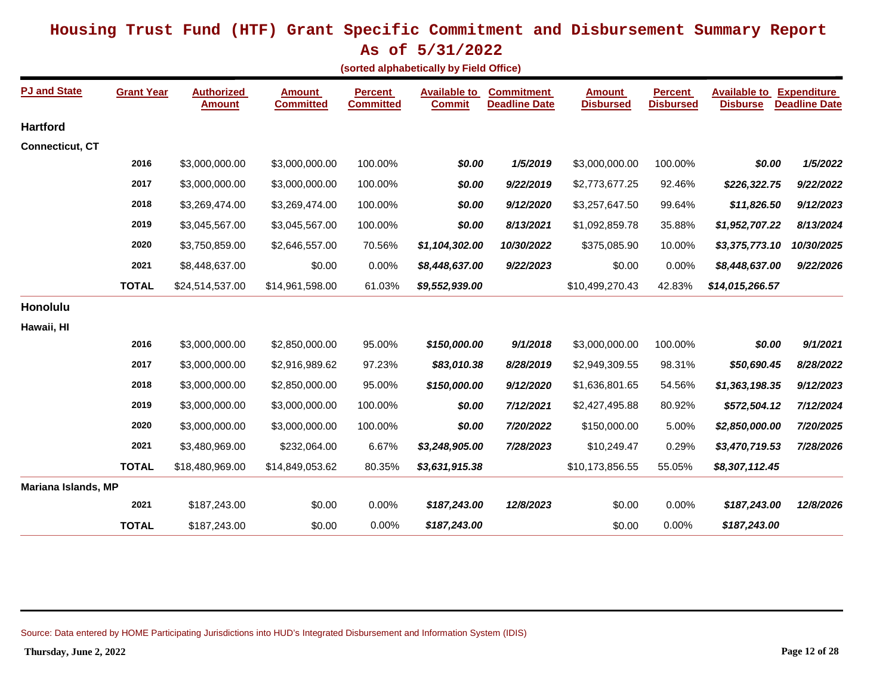**As of 5/31/2022**

| (sorted alphabetically by Field Office) |  |
|-----------------------------------------|--|
|-----------------------------------------|--|

| <b>PJ and State</b>    | <b>Grant Year</b> | <b>Authorized</b><br><b>Amount</b> | <b>Amount</b><br><b>Committed</b> | <b>Percent</b><br><b>Committed</b> | <b>Available to</b><br><b>Commit</b> | <b>Commitment</b><br><b>Deadline Date</b> | <b>Amount</b><br><b>Disbursed</b> | <b>Percent</b><br><b>Disbursed</b> | <b>Available to Expenditure</b><br><b>Disburse</b> | <b>Deadline Date</b> |
|------------------------|-------------------|------------------------------------|-----------------------------------|------------------------------------|--------------------------------------|-------------------------------------------|-----------------------------------|------------------------------------|----------------------------------------------------|----------------------|
| <b>Hartford</b>        |                   |                                    |                                   |                                    |                                      |                                           |                                   |                                    |                                                    |                      |
| <b>Connecticut, CT</b> |                   |                                    |                                   |                                    |                                      |                                           |                                   |                                    |                                                    |                      |
|                        | 2016              | \$3,000,000.00                     | \$3,000,000.00                    | 100.00%                            | \$0.00                               | 1/5/2019                                  | \$3,000,000.00                    | 100.00%                            | \$0.00                                             | 1/5/2022             |
|                        | 2017              | \$3,000,000.00                     | \$3,000,000.00                    | 100.00%                            | \$0.00                               | 9/22/2019                                 | \$2,773,677.25                    | 92.46%                             | \$226,322.75                                       | 9/22/2022            |
|                        | 2018              | \$3,269,474.00                     | \$3,269,474.00                    | 100.00%                            | \$0.00                               | 9/12/2020                                 | \$3,257,647.50                    | 99.64%                             | \$11,826.50                                        | 9/12/2023            |
|                        | 2019              | \$3,045,567.00                     | \$3,045,567.00                    | 100.00%                            | \$0.00                               | 8/13/2021                                 | \$1,092,859.78                    | 35.88%                             | \$1,952,707.22                                     | 8/13/2024            |
|                        | 2020              | \$3,750,859.00                     | \$2,646,557.00                    | 70.56%                             | \$1,104,302.00                       | 10/30/2022                                | \$375,085.90                      | 10.00%                             | \$3,375,773.10                                     | 10/30/2025           |
|                        | 2021              | \$8,448,637.00                     | \$0.00                            | 0.00%                              | \$8,448,637.00                       | 9/22/2023                                 | \$0.00                            | 0.00%                              | \$8,448,637.00                                     | 9/22/2026            |
|                        | <b>TOTAL</b>      | \$24,514,537.00                    | \$14,961,598.00                   | 61.03%                             | \$9,552,939.00                       |                                           | \$10,499,270.43                   | 42.83%                             | \$14,015,266.57                                    |                      |
| Honolulu               |                   |                                    |                                   |                                    |                                      |                                           |                                   |                                    |                                                    |                      |
| Hawaii, HI             |                   |                                    |                                   |                                    |                                      |                                           |                                   |                                    |                                                    |                      |
|                        | 2016              | \$3,000,000.00                     | \$2,850,000.00                    | 95.00%                             | \$150,000.00                         | 9/1/2018                                  | \$3,000,000.00                    | 100.00%                            | \$0.00                                             | 9/1/2021             |
|                        | 2017              | \$3,000,000.00                     | \$2,916,989.62                    | 97.23%                             | \$83,010.38                          | 8/28/2019                                 | \$2,949,309.55                    | 98.31%                             | \$50,690.45                                        | 8/28/2022            |
|                        | 2018              | \$3,000,000.00                     | \$2,850,000.00                    | 95.00%                             | \$150,000.00                         | 9/12/2020                                 | \$1,636,801.65                    | 54.56%                             | \$1,363,198.35                                     | 9/12/2023            |
|                        | 2019              | \$3,000,000.00                     | \$3,000,000.00                    | 100.00%                            | \$0.00                               | 7/12/2021                                 | \$2,427,495.88                    | 80.92%                             | \$572,504.12                                       | 7/12/2024            |
|                        | 2020              | \$3,000,000.00                     | \$3,000,000.00                    | 100.00%                            | \$0.00                               | 7/20/2022                                 | \$150,000.00                      | 5.00%                              | \$2,850,000.00                                     | 7/20/2025            |
|                        | 2021              | \$3,480,969.00                     | \$232,064.00                      | 6.67%                              | \$3,248,905.00                       | 7/28/2023                                 | \$10,249.47                       | 0.29%                              | \$3,470,719.53                                     | 7/28/2026            |
|                        | <b>TOTAL</b>      | \$18,480,969.00                    | \$14,849,053.62                   | 80.35%                             | \$3,631,915.38                       |                                           | \$10,173,856.55                   | 55.05%                             | \$8,307,112.45                                     |                      |
| Mariana Islands, MP    |                   |                                    |                                   |                                    |                                      |                                           |                                   |                                    |                                                    |                      |
|                        | 2021              | \$187,243.00                       | \$0.00                            | 0.00%                              | \$187,243.00                         | 12/8/2023                                 | \$0.00                            | 0.00%                              | \$187,243.00                                       | 12/8/2026            |
|                        | <b>TOTAL</b>      | \$187,243.00                       | \$0.00                            | 0.00%                              | \$187,243.00                         |                                           | \$0.00                            | 0.00%                              | \$187,243.00                                       |                      |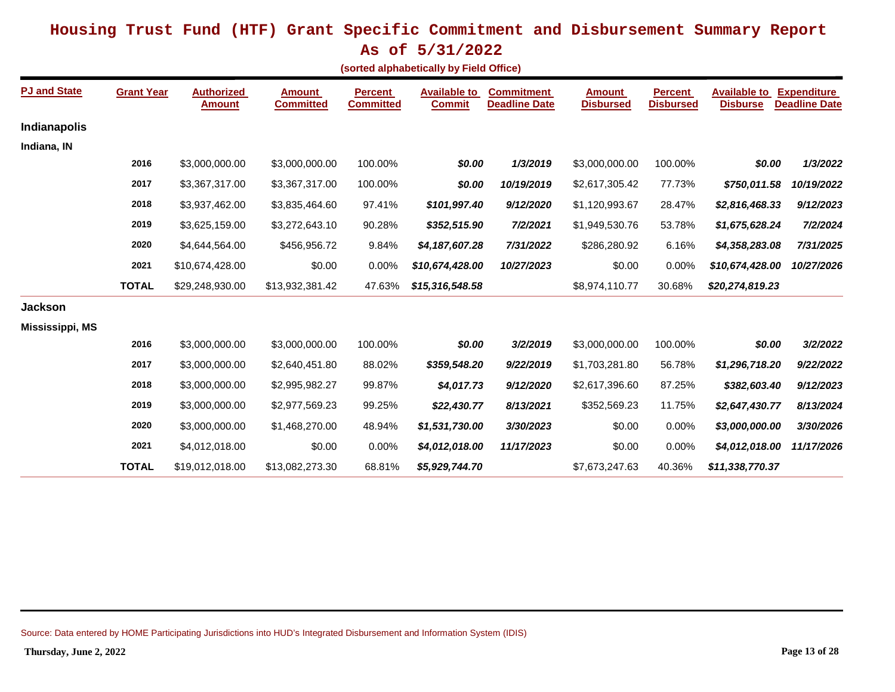**As of 5/31/2022**

|  | sorted alphabetically by Field Office) |  |  |  |
|--|----------------------------------------|--|--|--|
|--|----------------------------------------|--|--|--|

| <b>PJ and State</b>    | <b>Grant Year</b> | <b>Authorized</b><br><b>Amount</b> | <b>Amount</b><br><b>Committed</b> | <b>Percent</b><br><b>Committed</b> | <b>Available to</b><br><b>Commit</b> | <b>Commitment</b><br><b>Deadline Date</b> | <b>Amount</b><br><b>Disbursed</b> | <b>Percent</b><br><b>Disbursed</b> | <b>Available to</b><br><b>Disburse</b> | <b>Expenditure</b><br><b>Deadline Date</b> |
|------------------------|-------------------|------------------------------------|-----------------------------------|------------------------------------|--------------------------------------|-------------------------------------------|-----------------------------------|------------------------------------|----------------------------------------|--------------------------------------------|
| <b>Indianapolis</b>    |                   |                                    |                                   |                                    |                                      |                                           |                                   |                                    |                                        |                                            |
| Indiana, IN            |                   |                                    |                                   |                                    |                                      |                                           |                                   |                                    |                                        |                                            |
|                        | 2016              | \$3,000,000.00                     | \$3,000,000.00                    | 100.00%                            | \$0.00                               | 1/3/2019                                  | \$3,000,000.00                    | 100.00%                            | \$0.00                                 | 1/3/2022                                   |
|                        | 2017              | \$3,367,317.00                     | \$3,367,317.00                    | 100.00%                            | \$0.00                               | 10/19/2019                                | \$2,617,305.42                    | 77.73%                             | \$750,011.58                           | 10/19/2022                                 |
|                        | 2018              | \$3,937,462.00                     | \$3,835,464.60                    | 97.41%                             | \$101,997.40                         | 9/12/2020                                 | \$1,120,993.67                    | 28.47%                             | \$2,816,468.33                         | 9/12/2023                                  |
|                        | 2019              | \$3,625,159.00                     | \$3,272,643.10                    | 90.28%                             | \$352,515.90                         | 7/2/2021                                  | \$1,949,530.76                    | 53.78%                             | \$1,675,628.24                         | 7/2/2024                                   |
|                        | 2020              | \$4,644,564.00                     | \$456,956.72                      | 9.84%                              | \$4,187,607.28                       | 7/31/2022                                 | \$286,280.92                      | 6.16%                              | \$4,358,283.08                         | 7/31/2025                                  |
|                        | 2021              | \$10,674,428.00                    | \$0.00                            | 0.00%                              | \$10,674,428.00                      | 10/27/2023                                | \$0.00                            | 0.00%                              | \$10,674,428.00                        | 10/27/2026                                 |
|                        | <b>TOTAL</b>      | \$29,248,930.00                    | \$13,932,381.42                   | 47.63%                             | \$15,316,548.58                      |                                           | \$8,974,110.77                    | 30.68%                             | \$20,274,819.23                        |                                            |
| <b>Jackson</b>         |                   |                                    |                                   |                                    |                                      |                                           |                                   |                                    |                                        |                                            |
| <b>Mississippi, MS</b> |                   |                                    |                                   |                                    |                                      |                                           |                                   |                                    |                                        |                                            |
|                        | 2016              | \$3,000,000.00                     | \$3,000,000.00                    | 100.00%                            | \$0.00                               | 3/2/2019                                  | \$3,000,000.00                    | 100.00%                            | \$0.00                                 | 3/2/2022                                   |
|                        | 2017              | \$3,000,000.00                     | \$2,640,451.80                    | 88.02%                             | \$359,548.20                         | 9/22/2019                                 | \$1,703,281.80                    | 56.78%                             | \$1,296,718.20                         | 9/22/2022                                  |
|                        | 2018              | \$3,000,000.00                     | \$2,995,982.27                    | 99.87%                             | \$4,017.73                           | 9/12/2020                                 | \$2,617,396.60                    | 87.25%                             | \$382,603.40                           | 9/12/2023                                  |
|                        | 2019              | \$3,000,000.00                     | \$2,977,569.23                    | 99.25%                             | \$22,430.77                          | 8/13/2021                                 | \$352,569.23                      | 11.75%                             | \$2,647,430.77                         | 8/13/2024                                  |
|                        | 2020              | \$3,000,000.00                     | \$1,468,270.00                    | 48.94%                             | \$1,531,730.00                       | 3/30/2023                                 | \$0.00                            | 0.00%                              | \$3,000,000.00                         | 3/30/2026                                  |
|                        | 2021              | \$4,012,018.00                     | \$0.00                            | 0.00%                              | \$4,012,018.00                       | 11/17/2023                                | \$0.00                            | 0.00%                              | \$4,012,018.00                         | 11/17/2026                                 |
|                        | <b>TOTAL</b>      | \$19,012,018.00                    | \$13,082,273.30                   | 68.81%                             | \$5,929,744.70                       |                                           | \$7,673,247.63                    | 40.36%                             | \$11,338,770.37                        |                                            |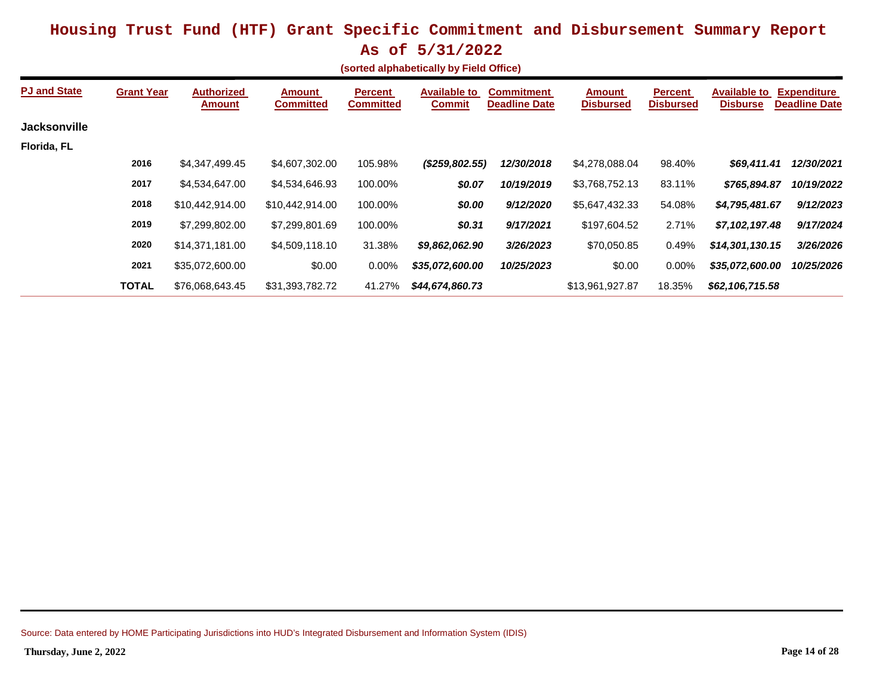|                                         | $110 - 11$ |  |  |
|-----------------------------------------|------------|--|--|
| (corted alphabetically by Field Office) |            |  |  |

|                     |                   |                             |                     |                                    | $\beta$ , $\beta$ , $\beta$ , $\beta$ , $\beta$ , $\beta$ , $\beta$ , $\beta$ , $\beta$ , $\beta$ , $\beta$ , $\beta$ , $\beta$ , $\beta$ , $\beta$ |                                           |                                   |                                    |                                        |                                            |
|---------------------|-------------------|-----------------------------|---------------------|------------------------------------|-----------------------------------------------------------------------------------------------------------------------------------------------------|-------------------------------------------|-----------------------------------|------------------------------------|----------------------------------------|--------------------------------------------|
| <b>PJ and State</b> | <b>Grant Year</b> | <b>Authorized</b><br>Amount | Amount<br>Committed | <b>Percent</b><br><b>Committed</b> | <b>Available to</b><br><b>Commit</b>                                                                                                                | <b>Commitment</b><br><b>Deadline Date</b> | <b>Amount</b><br><b>Disbursed</b> | <b>Percent</b><br><b>Disbursed</b> | <b>Available to</b><br><b>Disburse</b> | <b>Expenditure</b><br><b>Deadline Date</b> |
| <b>Jacksonville</b> |                   |                             |                     |                                    |                                                                                                                                                     |                                           |                                   |                                    |                                        |                                            |
| Florida, FL         |                   |                             |                     |                                    |                                                                                                                                                     |                                           |                                   |                                    |                                        |                                            |
|                     | 2016              | \$4,347,499.45              | \$4,607,302.00      | 105.98%                            | (\$259,802.55)                                                                                                                                      | 12/30/2018                                | \$4,278,088.04                    | 98.40%                             | \$69,411.41                            | 12/30/2021                                 |
|                     | 2017              | \$4,534,647.00              | \$4,534,646.93      | 100.00%                            | \$0.07                                                                                                                                              | 10/19/2019                                | \$3,768,752.13                    | 83.11%                             | \$765,894.87                           | 10/19/2022                                 |
|                     | 2018              | \$10,442,914.00             | \$10,442,914.00     | 100.00%                            | \$0.00                                                                                                                                              | 9/12/2020                                 | \$5,647,432.33                    | 54.08%                             | \$4,795,481.67                         | 9/12/2023                                  |
|                     | 2019              | \$7,299,802.00              | \$7,299,801.69      | 100.00%                            | \$0.31                                                                                                                                              | 9/17/2021                                 | \$197,604.52                      | 2.71%                              | \$7,102,197.48                         | 9/17/2024                                  |
|                     | 2020              | \$14,371,181.00             | \$4,509,118.10      | 31.38%                             | \$9,862,062.90                                                                                                                                      | 3/26/2023                                 | \$70,050.85                       | 0.49%                              | \$14,301,130.15                        | 3/26/2026                                  |
|                     | 2021              | \$35,072,600.00             | \$0.00              | $0.00\%$                           | \$35,072,600.00                                                                                                                                     | 10/25/2023                                | \$0.00                            | $0.00\%$                           | \$35,072,600.00                        | 10/25/2026                                 |
|                     | <b>TOTAL</b>      | \$76,068,643.45             | \$31,393,782.72     | 41.27%                             | \$44,674,860.73                                                                                                                                     |                                           | \$13,961,927.87                   | 18.35%                             | \$62,106,715.58                        |                                            |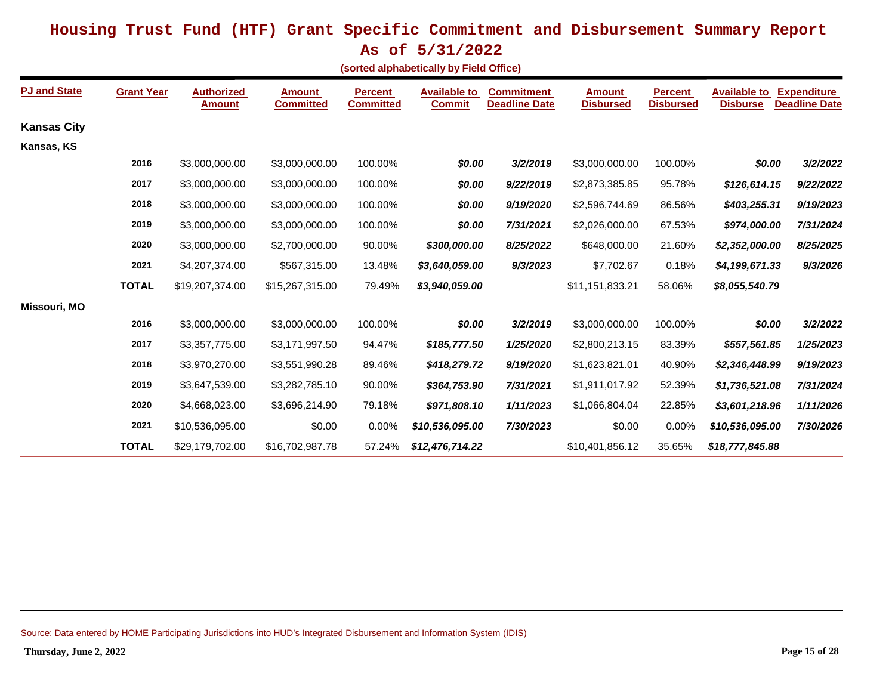**As of 5/31/2022**

**(sorted alphabetically by Field Office)**

| <b>PJ and State</b> | <b>Grant Year</b> | <b>Authorized</b><br><b>Amount</b> | <b>Amount</b><br><b>Committed</b> | <b>Percent</b><br><b>Committed</b> | <b>Available to</b><br><b>Commit</b> | <b>Commitment</b><br><b>Deadline Date</b> | <b>Amount</b><br><b>Disbursed</b> | <b>Percent</b><br><b>Disbursed</b> | <b>Available to</b><br><b>Disburse</b> | <b>Expenditure</b><br><b>Deadline Date</b> |
|---------------------|-------------------|------------------------------------|-----------------------------------|------------------------------------|--------------------------------------|-------------------------------------------|-----------------------------------|------------------------------------|----------------------------------------|--------------------------------------------|
| <b>Kansas City</b>  |                   |                                    |                                   |                                    |                                      |                                           |                                   |                                    |                                        |                                            |
| Kansas, KS          |                   |                                    |                                   |                                    |                                      |                                           |                                   |                                    |                                        |                                            |
|                     | 2016              | \$3,000,000.00                     | \$3,000,000.00                    | 100.00%                            | \$0.00                               | 3/2/2019                                  | \$3,000,000.00                    | 100.00%                            | \$0.00                                 | 3/2/2022                                   |
|                     | 2017              | \$3,000,000.00                     | \$3,000,000.00                    | 100.00%                            | \$0.00                               | 9/22/2019                                 | \$2,873,385.85                    | 95.78%                             | \$126,614.15                           | 9/22/2022                                  |
|                     | 2018              | \$3,000,000.00                     | \$3,000,000.00                    | 100.00%                            | \$0.00                               | 9/19/2020                                 | \$2,596,744.69                    | 86.56%                             | \$403,255.31                           | 9/19/2023                                  |
|                     | 2019              | \$3,000,000.00                     | \$3,000,000.00                    | 100.00%                            | \$0.00                               | 7/31/2021                                 | \$2,026,000.00                    | 67.53%                             | \$974,000.00                           | 7/31/2024                                  |
|                     | 2020              | \$3,000,000.00                     | \$2,700,000.00                    | 90.00%                             | \$300,000.00                         | 8/25/2022                                 | \$648,000.00                      | 21.60%                             | \$2,352,000.00                         | 8/25/2025                                  |
|                     | 2021              | \$4,207,374.00                     | \$567,315.00                      | 13.48%                             | \$3,640,059.00                       | 9/3/2023                                  | \$7,702.67                        | 0.18%                              | \$4,199,671.33                         | 9/3/2026                                   |
|                     | <b>TOTAL</b>      | \$19,207,374.00                    | \$15,267,315.00                   | 79.49%                             | \$3,940,059.00                       |                                           | \$11,151,833.21                   | 58.06%                             | \$8,055,540.79                         |                                            |
| Missouri, MO        |                   |                                    |                                   |                                    |                                      |                                           |                                   |                                    |                                        |                                            |
|                     | 2016              | \$3,000,000.00                     | \$3,000,000.00                    | 100.00%                            | \$0.00                               | 3/2/2019                                  | \$3,000,000.00                    | 100.00%                            | \$0.00                                 | 3/2/2022                                   |
|                     | 2017              | \$3,357,775.00                     | \$3,171,997.50                    | 94.47%                             | \$185,777.50                         | 1/25/2020                                 | \$2,800,213.15                    | 83.39%                             | \$557,561.85                           | 1/25/2023                                  |
|                     | 2018              | \$3,970,270.00                     | \$3,551,990.28                    | 89.46%                             | \$418,279.72                         | 9/19/2020                                 | \$1,623,821.01                    | 40.90%                             | \$2,346,448.99                         | 9/19/2023                                  |
|                     | 2019              | \$3,647,539.00                     | \$3,282,785.10                    | 90.00%                             | \$364,753.90                         | 7/31/2021                                 | \$1,911,017.92                    | 52.39%                             | \$1,736,521.08                         | 7/31/2024                                  |
|                     | 2020              | \$4,668,023.00                     | \$3,696,214.90                    | 79.18%                             | \$971,808.10                         | 1/11/2023                                 | \$1,066,804.04                    | 22.85%                             | \$3,601,218.96                         | 1/11/2026                                  |
|                     | 2021              | \$10,536,095.00                    | \$0.00                            | 0.00%                              | \$10,536,095.00                      | 7/30/2023                                 | \$0.00                            | 0.00%                              | \$10,536,095.00                        | 7/30/2026                                  |
|                     | <b>TOTAL</b>      | \$29,179,702.00                    | \$16,702,987.78                   | 57.24%                             | \$12,476,714.22                      |                                           | \$10,401,856.12                   | 35.65%                             | \$18,777,845.88                        |                                            |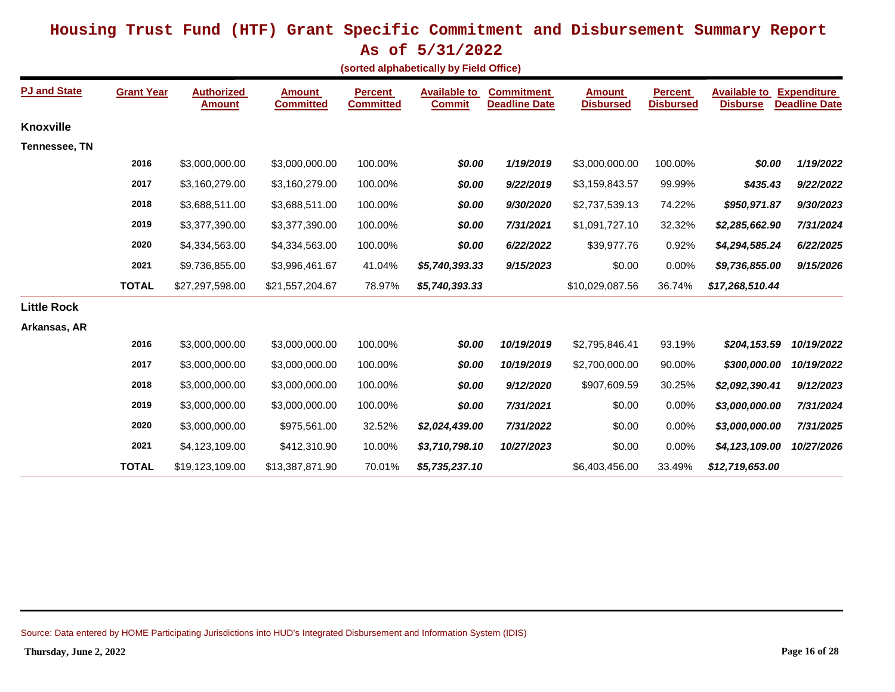**As of 5/31/2022**

|  |  |  |  | (sorted alphabetically by Field Office) |
|--|--|--|--|-----------------------------------------|
|--|--|--|--|-----------------------------------------|

| <b>PJ and State</b>  | <b>Grant Year</b> | <b>Authorized</b><br><b>Amount</b> | <b>Amount</b><br><b>Committed</b> | <b>Percent</b><br><b>Committed</b> | <b>Available to</b><br><b>Commit</b> | <b>Commitment</b><br><b>Deadline Date</b> | <b>Amount</b><br><b>Disbursed</b> | <b>Percent</b><br><b>Disbursed</b> | <b>Available to</b><br><b>Disburse</b> | <b>Expenditure</b><br><b>Deadline Date</b> |
|----------------------|-------------------|------------------------------------|-----------------------------------|------------------------------------|--------------------------------------|-------------------------------------------|-----------------------------------|------------------------------------|----------------------------------------|--------------------------------------------|
| <b>Knoxville</b>     |                   |                                    |                                   |                                    |                                      |                                           |                                   |                                    |                                        |                                            |
| <b>Tennessee, TN</b> |                   |                                    |                                   |                                    |                                      |                                           |                                   |                                    |                                        |                                            |
|                      | 2016              | \$3,000,000.00                     | \$3,000,000.00                    | 100.00%                            | \$0.00                               | 1/19/2019                                 | \$3,000,000.00                    | 100.00%                            | \$0.00                                 | 1/19/2022                                  |
|                      | 2017              | \$3,160,279.00                     | \$3,160,279.00                    | 100.00%                            | \$0.00                               | 9/22/2019                                 | \$3,159,843.57                    | 99.99%                             | \$435.43                               | 9/22/2022                                  |
|                      | 2018              | \$3,688,511.00                     | \$3,688,511.00                    | 100.00%                            | \$0.00                               | 9/30/2020                                 | \$2,737,539.13                    | 74.22%                             | \$950,971.87                           | 9/30/2023                                  |
|                      | 2019              | \$3,377,390.00                     | \$3,377,390.00                    | 100.00%                            | \$0.00                               | 7/31/2021                                 | \$1,091,727.10                    | 32.32%                             | \$2,285,662.90                         | 7/31/2024                                  |
|                      | 2020              | \$4,334,563.00                     | \$4,334,563.00                    | 100.00%                            | \$0.00                               | 6/22/2022                                 | \$39,977.76                       | 0.92%                              | \$4,294,585.24                         | 6/22/2025                                  |
|                      | 2021              | \$9,736,855.00                     | \$3,996,461.67                    | 41.04%                             | \$5,740,393.33                       | 9/15/2023                                 | \$0.00                            | 0.00%                              | \$9,736,855.00                         | 9/15/2026                                  |
|                      | <b>TOTAL</b>      | \$27,297,598.00                    | \$21,557,204.67                   | 78.97%                             | \$5,740,393.33                       |                                           | \$10,029,087.56                   | 36.74%                             | \$17,268,510.44                        |                                            |
| <b>Little Rock</b>   |                   |                                    |                                   |                                    |                                      |                                           |                                   |                                    |                                        |                                            |
| Arkansas, AR         |                   |                                    |                                   |                                    |                                      |                                           |                                   |                                    |                                        |                                            |
|                      | 2016              | \$3,000,000.00                     | \$3,000,000.00                    | 100.00%                            | \$0.00                               | 10/19/2019                                | \$2,795,846.41                    | 93.19%                             | \$204,153.59                           | 10/19/2022                                 |
|                      | 2017              | \$3,000,000.00                     | \$3,000,000.00                    | 100.00%                            | \$0.00                               | 10/19/2019                                | \$2,700,000.00                    | 90.00%                             | \$300,000.00                           | 10/19/2022                                 |
|                      | 2018              | \$3,000,000.00                     | \$3,000,000.00                    | 100.00%                            | \$0.00                               | 9/12/2020                                 | \$907,609.59                      | 30.25%                             | \$2,092,390.41                         | 9/12/2023                                  |
|                      | 2019              | \$3,000,000.00                     | \$3,000,000.00                    | 100.00%                            | \$0.00                               | 7/31/2021                                 | \$0.00                            | 0.00%                              | \$3,000,000.00                         | 7/31/2024                                  |
|                      | 2020              | \$3,000,000.00                     | \$975,561.00                      | 32.52%                             | \$2,024,439.00                       | 7/31/2022                                 | \$0.00                            | 0.00%                              | \$3,000,000.00                         | 7/31/2025                                  |
|                      | 2021              | \$4,123,109.00                     | \$412,310.90                      | 10.00%                             | \$3,710,798.10                       | 10/27/2023                                | \$0.00                            | 0.00%                              | \$4,123,109.00                         | 10/27/2026                                 |
|                      | <b>TOTAL</b>      | \$19,123,109.00                    | \$13,387,871.90                   | 70.01%                             | \$5,735,237.10                       |                                           | \$6,403,456.00                    | 33.49%                             | \$12,719,653.00                        |                                            |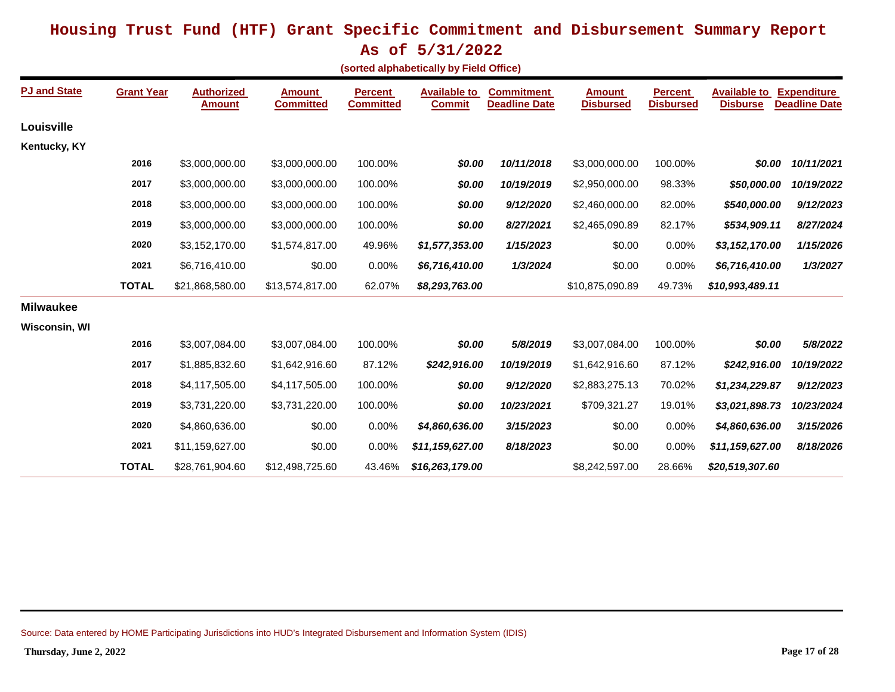**As of 5/31/2022**

|  |  |  |  | (sorted alphabetically by Field Office) |
|--|--|--|--|-----------------------------------------|
|--|--|--|--|-----------------------------------------|

| <b>PJ and State</b> | <b>Grant Year</b> | <b>Authorized</b><br>Amount | <b>Amount</b><br><b>Committed</b> | <b>Percent</b><br><b>Committed</b> | <b>Available to</b><br><b>Commit</b> | <b>Commitment</b><br><b>Deadline Date</b> | <b>Amount</b><br><b>Disbursed</b> | <b>Percent</b><br><b>Disbursed</b> | <b>Available to</b><br><b>Disburse</b> | <b>Expenditure</b><br><b>Deadline Date</b> |
|---------------------|-------------------|-----------------------------|-----------------------------------|------------------------------------|--------------------------------------|-------------------------------------------|-----------------------------------|------------------------------------|----------------------------------------|--------------------------------------------|
| Louisville          |                   |                             |                                   |                                    |                                      |                                           |                                   |                                    |                                        |                                            |
| Kentucky, KY        |                   |                             |                                   |                                    |                                      |                                           |                                   |                                    |                                        |                                            |
|                     | 2016              | \$3,000,000.00              | \$3,000,000.00                    | 100.00%                            | \$0.00                               | 10/11/2018                                | \$3,000,000.00                    | 100.00%                            | \$0.00                                 | 10/11/2021                                 |
|                     | 2017              | \$3,000,000.00              | \$3,000,000.00                    | 100.00%                            | \$0.00                               | 10/19/2019                                | \$2,950,000.00                    | 98.33%                             | \$50,000.00                            | 10/19/2022                                 |
|                     | 2018              | \$3,000,000.00              | \$3,000,000.00                    | 100.00%                            | \$0.00                               | 9/12/2020                                 | \$2,460,000.00                    | 82.00%                             | \$540,000.00                           | 9/12/2023                                  |
|                     | 2019              | \$3,000,000.00              | \$3,000,000.00                    | 100.00%                            | \$0.00                               | 8/27/2021                                 | \$2,465,090.89                    | 82.17%                             | \$534,909.11                           | 8/27/2024                                  |
|                     | 2020              | \$3,152,170.00              | \$1,574,817.00                    | 49.96%                             | \$1,577,353.00                       | 1/15/2023                                 | \$0.00                            | 0.00%                              | \$3,152,170.00                         | 1/15/2026                                  |
|                     | 2021              | \$6,716,410.00              | \$0.00                            | 0.00%                              | \$6,716,410.00                       | 1/3/2024                                  | \$0.00                            | 0.00%                              | \$6,716,410.00                         | 1/3/2027                                   |
|                     | <b>TOTAL</b>      | \$21,868,580.00             | \$13,574,817.00                   | 62.07%                             | \$8,293,763.00                       |                                           | \$10,875,090.89                   | 49.73%                             | \$10,993,489.11                        |                                            |
| <b>Milwaukee</b>    |                   |                             |                                   |                                    |                                      |                                           |                                   |                                    |                                        |                                            |
| Wisconsin, WI       |                   |                             |                                   |                                    |                                      |                                           |                                   |                                    |                                        |                                            |
|                     | 2016              | \$3,007,084.00              | \$3,007,084.00                    | 100.00%                            | \$0.00                               | 5/8/2019                                  | \$3,007,084.00                    | 100.00%                            | \$0.00                                 | 5/8/2022                                   |
|                     | 2017              | \$1,885,832.60              | \$1,642,916.60                    | 87.12%                             | \$242,916.00                         | 10/19/2019                                | \$1,642,916.60                    | 87.12%                             | \$242,916.00                           | 10/19/2022                                 |
|                     | 2018              | \$4,117,505.00              | \$4,117,505.00                    | 100.00%                            | \$0.00                               | 9/12/2020                                 | \$2,883,275.13                    | 70.02%                             | \$1,234,229.87                         | 9/12/2023                                  |
|                     | 2019              | \$3,731,220.00              | \$3,731,220.00                    | 100.00%                            | \$0.00                               | 10/23/2021                                | \$709,321.27                      | 19.01%                             | \$3,021,898.73                         | 10/23/2024                                 |
|                     | 2020              | \$4,860,636.00              | \$0.00                            | 0.00%                              | \$4,860,636.00                       | 3/15/2023                                 | \$0.00                            | 0.00%                              | \$4,860,636.00                         | 3/15/2026                                  |
|                     | 2021              | \$11,159,627.00             | \$0.00                            | 0.00%                              | \$11,159,627.00                      | 8/18/2023                                 | \$0.00                            | 0.00%                              | \$11,159,627.00                        | 8/18/2026                                  |
|                     | <b>TOTAL</b>      | \$28,761,904.60             | \$12,498,725.60                   | 43.46%                             | \$16,263,179.00                      |                                           | \$8,242,597.00                    | 28.66%                             | \$20,519,307.60                        |                                            |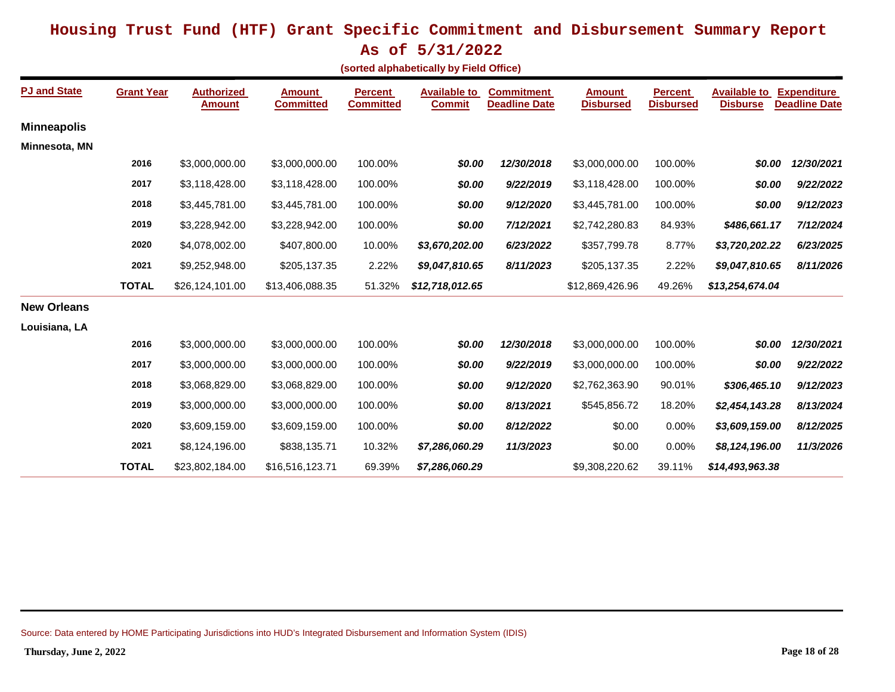**As of 5/31/2022**

|  |  |  |  | (sorted alphabetically by Field Office) |
|--|--|--|--|-----------------------------------------|
|--|--|--|--|-----------------------------------------|

| <b>PJ and State</b> | <b>Grant Year</b> | <b>Authorized</b><br>Amount | <b>Amount</b><br><b>Committed</b> | <b>Percent</b><br><b>Committed</b> | <b>Available to</b><br><b>Commit</b> | <b>Commitment</b><br><b>Deadline Date</b> | Amount<br><b>Disbursed</b> | <b>Percent</b><br><b>Disbursed</b> | <b>Available to</b><br><b>Disburse</b> | <b>Expenditure</b><br><b>Deadline Date</b> |
|---------------------|-------------------|-----------------------------|-----------------------------------|------------------------------------|--------------------------------------|-------------------------------------------|----------------------------|------------------------------------|----------------------------------------|--------------------------------------------|
| <b>Minneapolis</b>  |                   |                             |                                   |                                    |                                      |                                           |                            |                                    |                                        |                                            |
| Minnesota, MN       |                   |                             |                                   |                                    |                                      |                                           |                            |                                    |                                        |                                            |
|                     | 2016              | \$3,000,000.00              | \$3,000,000.00                    | 100.00%                            | \$0.00                               | 12/30/2018                                | \$3,000,000.00             | 100.00%                            | \$0.00                                 | 12/30/2021                                 |
|                     | 2017              | \$3,118,428.00              | \$3,118,428.00                    | 100.00%                            | \$0.00                               | 9/22/2019                                 | \$3,118,428.00             | 100.00%                            | \$0.00                                 | 9/22/2022                                  |
|                     | 2018              | \$3,445,781.00              | \$3,445,781.00                    | 100.00%                            | \$0.00                               | 9/12/2020                                 | \$3,445,781.00             | 100.00%                            | \$0.00                                 | 9/12/2023                                  |
|                     | 2019              | \$3,228,942.00              | \$3,228,942.00                    | 100.00%                            | \$0.00                               | 7/12/2021                                 | \$2,742,280.83             | 84.93%                             | \$486,661.17                           | 7/12/2024                                  |
|                     | 2020              | \$4,078,002.00              | \$407,800.00                      | 10.00%                             | \$3,670,202.00                       | 6/23/2022                                 | \$357,799.78               | 8.77%                              | \$3,720,202.22                         | 6/23/2025                                  |
|                     | 2021              | \$9,252,948.00              | \$205,137.35                      | 2.22%                              | \$9,047,810.65                       | 8/11/2023                                 | \$205,137.35               | 2.22%                              | \$9,047,810.65                         | 8/11/2026                                  |
|                     | <b>TOTAL</b>      | \$26,124,101.00             | \$13,406,088.35                   | 51.32%                             | \$12,718,012.65                      |                                           | \$12,869,426.96            | 49.26%                             | \$13,254,674.04                        |                                            |
| <b>New Orleans</b>  |                   |                             |                                   |                                    |                                      |                                           |                            |                                    |                                        |                                            |
| Louisiana, LA       |                   |                             |                                   |                                    |                                      |                                           |                            |                                    |                                        |                                            |
|                     | 2016              | \$3,000,000.00              | \$3,000,000.00                    | 100.00%                            | \$0.00                               | 12/30/2018                                | \$3,000,000.00             | 100.00%                            | \$0.00                                 | 12/30/2021                                 |
|                     | 2017              | \$3,000,000.00              | \$3,000,000.00                    | 100.00%                            | \$0.00                               | 9/22/2019                                 | \$3,000,000.00             | 100.00%                            | \$0.00                                 | 9/22/2022                                  |
|                     | 2018              | \$3,068,829.00              | \$3,068,829.00                    | 100.00%                            | \$0.00                               | 9/12/2020                                 | \$2,762,363.90             | 90.01%                             | \$306,465.10                           | 9/12/2023                                  |
|                     | 2019              | \$3,000,000.00              | \$3,000,000.00                    | 100.00%                            | \$0.00                               | 8/13/2021                                 | \$545,856.72               | 18.20%                             | \$2,454,143.28                         | 8/13/2024                                  |
|                     | 2020              | \$3,609,159.00              | \$3,609,159.00                    | 100.00%                            | \$0.00                               | 8/12/2022                                 | \$0.00                     | 0.00%                              | \$3,609,159.00                         | 8/12/2025                                  |
|                     | 2021              | \$8,124,196.00              | \$838,135.71                      | 10.32%                             | \$7,286,060.29                       | 11/3/2023                                 | \$0.00                     | 0.00%                              | \$8,124,196.00                         | 11/3/2026                                  |
|                     | <b>TOTAL</b>      | \$23,802,184.00             | \$16,516,123.71                   | 69.39%                             | \$7,286,060.29                       |                                           | \$9,308,220.62             | 39.11%                             | \$14,493,963.38                        |                                            |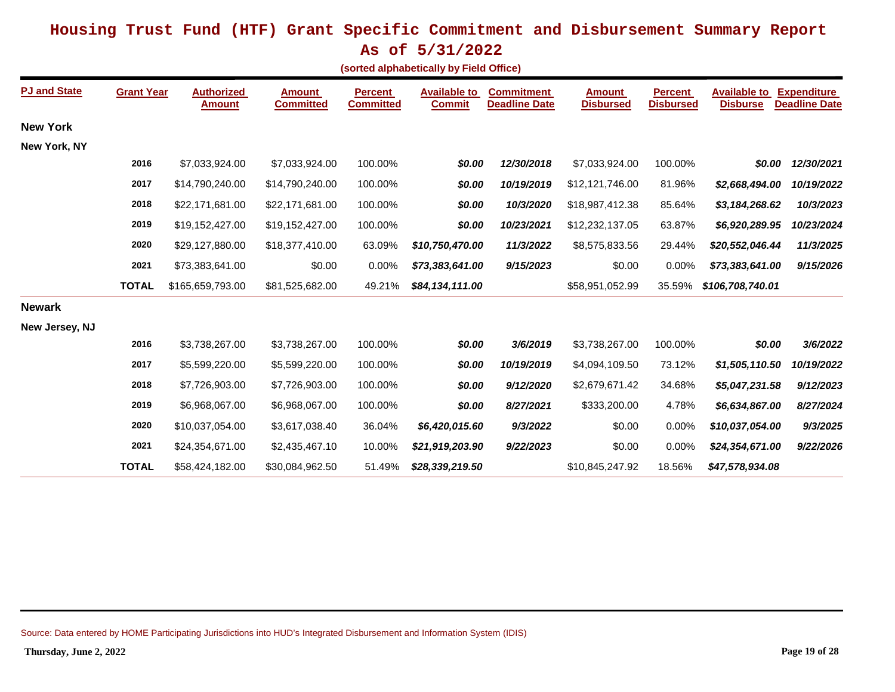**As of 5/31/2022**

|  | (sorted alphabetically by Field Office) |  |  |
|--|-----------------------------------------|--|--|
|--|-----------------------------------------|--|--|

| <b>PJ and State</b> | <b>Grant Year</b> | <b>Authorized</b><br><b>Amount</b> | <b>Amount</b><br><b>Committed</b> | <b>Percent</b><br><b>Committed</b> | <b>Available to</b><br><b>Commit</b> | <b>Commitment</b><br><b>Deadline Date</b> | <b>Amount</b><br><b>Disbursed</b> | <b>Percent</b><br><b>Disbursed</b> | <b>Available to</b><br><b>Disburse</b> | <b>Expenditure</b><br><b>Deadline Date</b> |
|---------------------|-------------------|------------------------------------|-----------------------------------|------------------------------------|--------------------------------------|-------------------------------------------|-----------------------------------|------------------------------------|----------------------------------------|--------------------------------------------|
| <b>New York</b>     |                   |                                    |                                   |                                    |                                      |                                           |                                   |                                    |                                        |                                            |
| New York, NY        |                   |                                    |                                   |                                    |                                      |                                           |                                   |                                    |                                        |                                            |
|                     | 2016              | \$7,033,924.00                     | \$7,033,924.00                    | 100.00%                            | \$0.00                               | 12/30/2018                                | \$7,033,924.00                    | 100.00%                            | \$0.00                                 | 12/30/2021                                 |
|                     | 2017              | \$14,790,240.00                    | \$14,790,240.00                   | 100.00%                            | \$0.00                               | 10/19/2019                                | \$12,121,746.00                   | 81.96%                             | \$2,668,494.00                         | 10/19/2022                                 |
|                     | 2018              | \$22,171,681.00                    | \$22,171,681.00                   | 100.00%                            | \$0.00                               | 10/3/2020                                 | \$18,987,412.38                   | 85.64%                             | \$3,184,268.62                         | 10/3/2023                                  |
|                     | 2019              | \$19,152,427.00                    | \$19,152,427.00                   | 100.00%                            | \$0.00                               | 10/23/2021                                | \$12,232,137.05                   | 63.87%                             | \$6,920,289.95                         | 10/23/2024                                 |
|                     | 2020              | \$29,127,880.00                    | \$18,377,410.00                   | 63.09%                             | \$10,750,470.00                      | 11/3/2022                                 | \$8,575,833.56                    | 29.44%                             | \$20,552,046.44                        | 11/3/2025                                  |
|                     | 2021              | \$73,383,641.00                    | \$0.00                            | 0.00%                              | \$73,383,641.00                      | 9/15/2023                                 | \$0.00                            | 0.00%                              | \$73,383,641.00                        | 9/15/2026                                  |
|                     | <b>TOTAL</b>      | \$165,659,793.00                   | \$81,525,682.00                   | 49.21%                             | \$84,134,111.00                      |                                           | \$58,951,052.99                   | 35.59%                             | \$106,708,740.01                       |                                            |
| <b>Newark</b>       |                   |                                    |                                   |                                    |                                      |                                           |                                   |                                    |                                        |                                            |
| New Jersey, NJ      |                   |                                    |                                   |                                    |                                      |                                           |                                   |                                    |                                        |                                            |
|                     | 2016              | \$3,738,267.00                     | \$3,738,267.00                    | 100.00%                            | \$0.00                               | 3/6/2019                                  | \$3,738,267.00                    | 100.00%                            | \$0.00                                 | 3/6/2022                                   |
|                     | 2017              | \$5,599,220.00                     | \$5,599,220.00                    | 100.00%                            | \$0.00                               | 10/19/2019                                | \$4,094,109.50                    | 73.12%                             | \$1,505,110.50                         | 10/19/2022                                 |
|                     | 2018              | \$7,726,903.00                     | \$7,726,903.00                    | 100.00%                            | \$0.00                               | 9/12/2020                                 | \$2,679,671.42                    | 34.68%                             | \$5,047,231.58                         | 9/12/2023                                  |
|                     | 2019              | \$6,968,067.00                     | \$6,968,067.00                    | 100.00%                            | \$0.00                               | 8/27/2021                                 | \$333,200.00                      | 4.78%                              | \$6,634,867.00                         | 8/27/2024                                  |
|                     | 2020              | \$10,037,054.00                    | \$3,617,038.40                    | 36.04%                             | \$6,420,015.60                       | 9/3/2022                                  | \$0.00                            | 0.00%                              | \$10,037,054.00                        | 9/3/2025                                   |
|                     | 2021              | \$24,354,671.00                    | \$2,435,467.10                    | 10.00%                             | \$21,919,203.90                      | 9/22/2023                                 | \$0.00                            | 0.00%                              | \$24,354,671.00                        | 9/22/2026                                  |
|                     | <b>TOTAL</b>      | \$58,424,182.00                    | \$30,084,962.50                   | 51.49%                             | \$28,339,219.50                      |                                           | \$10,845,247.92                   | 18.56%                             | \$47,578,934.08                        |                                            |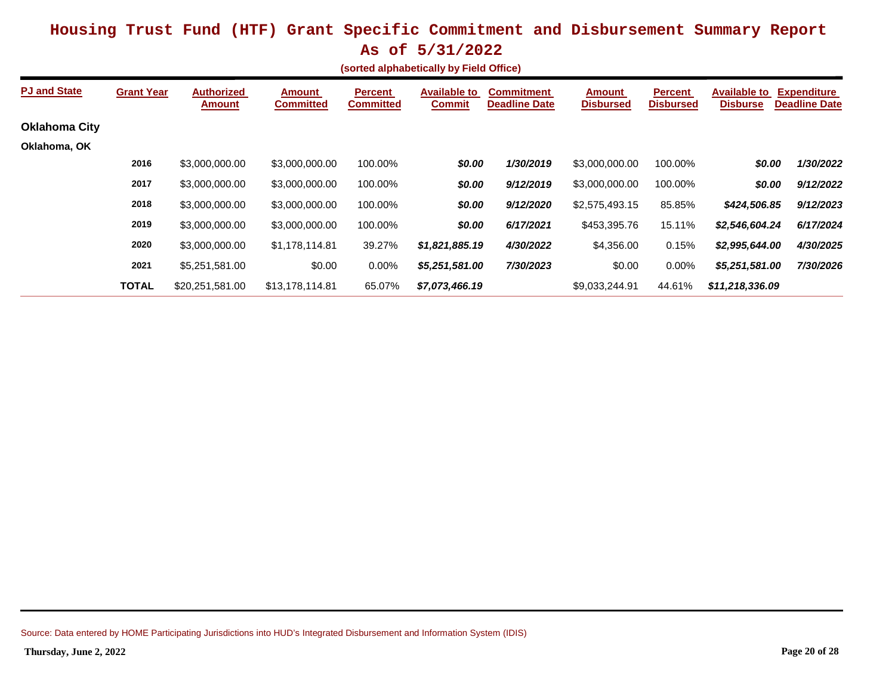|  | sorted alphabetically by Field Office) |  |  |
|--|----------------------------------------|--|--|
|--|----------------------------------------|--|--|

| <b>PJ and State</b>  | <b>Grant Year</b> | <b>Authorized</b><br><b>Amount</b> | <b>Amount</b><br><b>Committed</b> | <b>Percent</b><br><b>Committed</b> | <b>Available to</b><br><b>Commit</b> | <b>Commitment</b><br><b>Deadline Date</b> | <b>Amount</b><br><b>Disbursed</b> | <b>Percent</b><br><b>Disbursed</b> | <b>Available to</b><br><b>Disburse</b> | <b>Expenditure</b><br><b>Deadline Date</b> |
|----------------------|-------------------|------------------------------------|-----------------------------------|------------------------------------|--------------------------------------|-------------------------------------------|-----------------------------------|------------------------------------|----------------------------------------|--------------------------------------------|
| <b>Oklahoma City</b> |                   |                                    |                                   |                                    |                                      |                                           |                                   |                                    |                                        |                                            |
| Oklahoma, OK         |                   |                                    |                                   |                                    |                                      |                                           |                                   |                                    |                                        |                                            |
|                      | 2016              | \$3,000,000.00                     | \$3,000,000.00                    | 100.00%                            | \$0.00                               | 1/30/2019                                 | \$3,000,000.00                    | 100.00%                            | \$0.00                                 | 1/30/2022                                  |
|                      | 2017              | \$3,000,000.00                     | \$3,000,000.00                    | 100.00%                            | \$0.00                               | 9/12/2019                                 | \$3,000,000.00                    | 100.00%                            | \$0.00                                 | 9/12/2022                                  |
|                      | 2018              | \$3,000,000,00                     | \$3,000,000.00                    | 100.00%                            | \$0.00                               | 9/12/2020                                 | \$2,575,493.15                    | 85.85%                             | \$424,506.85                           | 9/12/2023                                  |
|                      | 2019              | \$3,000,000.00                     | \$3,000,000.00                    | 100.00%                            | \$0.00                               | 6/17/2021                                 | \$453,395.76                      | 15.11%                             | \$2,546,604.24                         | 6/17/2024                                  |
|                      | 2020              | \$3,000,000.00                     | \$1,178,114.81                    | 39.27%                             | \$1,821,885.19                       | 4/30/2022                                 | \$4,356.00                        | 0.15%                              | \$2,995,644.00                         | 4/30/2025                                  |
|                      | 2021              | \$5,251,581.00                     | \$0.00                            | $0.00\%$                           | \$5,251,581.00                       | 7/30/2023                                 | \$0.00                            | 0.00%                              | \$5,251,581.00                         | 7/30/2026                                  |
|                      | <b>TOTAL</b>      | \$20.251.581.00                    | \$13.178.114.81                   | 65.07%                             | \$7,073,466.19                       |                                           | \$9.033.244.91                    | 44.61%                             | \$11,218,336,09                        |                                            |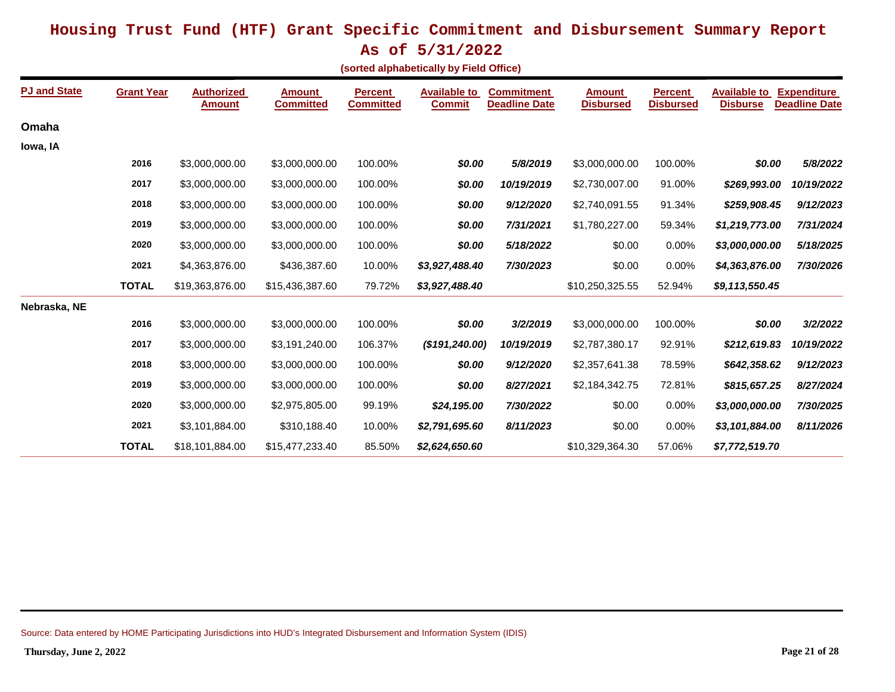**As of 5/31/2022**

|  | (sorted alphabetically by Field Office) |  |  |  |
|--|-----------------------------------------|--|--|--|
|--|-----------------------------------------|--|--|--|

| <b>PJ and State</b> | <b>Grant Year</b> | <b>Authorized</b><br><b>Amount</b> | <b>Amount</b><br><b>Committed</b> | <b>Percent</b><br><b>Committed</b> | <b>Available to</b><br><b>Commit</b> | <b>Commitment</b><br><b>Deadline Date</b> | <b>Amount</b><br><b>Disbursed</b> | <b>Percent</b><br><b>Disbursed</b> | <b>Available to</b><br><b>Disburse</b> | <b>Expenditure</b><br><b>Deadline Date</b> |
|---------------------|-------------------|------------------------------------|-----------------------------------|------------------------------------|--------------------------------------|-------------------------------------------|-----------------------------------|------------------------------------|----------------------------------------|--------------------------------------------|
| Omaha               |                   |                                    |                                   |                                    |                                      |                                           |                                   |                                    |                                        |                                            |
| lowa, IA            |                   |                                    |                                   |                                    |                                      |                                           |                                   |                                    |                                        |                                            |
|                     | 2016              | \$3,000,000.00                     | \$3,000,000.00                    | 100.00%                            | \$0.00                               | 5/8/2019                                  | \$3,000,000.00                    | 100.00%                            | \$0.00                                 | 5/8/2022                                   |
|                     | 2017              | \$3,000,000.00                     | \$3,000,000.00                    | 100.00%                            | \$0.00                               | 10/19/2019                                | \$2,730,007.00                    | 91.00%                             | \$269,993.00                           | 10/19/2022                                 |
|                     | 2018              | \$3,000,000.00                     | \$3,000,000.00                    | 100.00%                            | \$0.00                               | 9/12/2020                                 | \$2,740,091.55                    | 91.34%                             | \$259,908.45                           | 9/12/2023                                  |
|                     | 2019              | \$3,000,000.00                     | \$3,000,000.00                    | 100.00%                            | \$0.00                               | 7/31/2021                                 | \$1,780,227.00                    | 59.34%                             | \$1,219,773.00                         | 7/31/2024                                  |
|                     | 2020              | \$3,000,000.00                     | \$3,000,000.00                    | 100.00%                            | \$0.00                               | 5/18/2022                                 | \$0.00                            | 0.00%                              | \$3,000,000.00                         | 5/18/2025                                  |
|                     | 2021              | \$4,363,876.00                     | \$436,387.60                      | 10.00%                             | \$3,927,488.40                       | 7/30/2023                                 | \$0.00                            | 0.00%                              | \$4,363,876.00                         | 7/30/2026                                  |
|                     | <b>TOTAL</b>      | \$19,363,876.00                    | \$15,436,387.60                   | 79.72%                             | \$3,927,488.40                       |                                           | \$10,250,325.55                   | 52.94%                             | \$9,113,550.45                         |                                            |
| Nebraska, NE        |                   |                                    |                                   |                                    |                                      |                                           |                                   |                                    |                                        |                                            |
|                     | 2016              | \$3,000,000.00                     | \$3,000,000.00                    | 100.00%                            | \$0.00                               | 3/2/2019                                  | \$3,000,000.00                    | 100.00%                            | \$0.00                                 | 3/2/2022                                   |
|                     | 2017              | \$3,000,000.00                     | \$3,191,240.00                    | 106.37%                            | (\$191, 240.00)                      | 10/19/2019                                | \$2,787,380.17                    | 92.91%                             | \$212,619.83                           | 10/19/2022                                 |
|                     | 2018              | \$3,000,000.00                     | \$3,000,000.00                    | 100.00%                            | \$0.00                               | 9/12/2020                                 | \$2,357,641.38                    | 78.59%                             | \$642,358.62                           | 9/12/2023                                  |
|                     | 2019              | \$3,000,000.00                     | \$3,000,000.00                    | 100.00%                            | \$0.00                               | 8/27/2021                                 | \$2,184,342.75                    | 72.81%                             | \$815,657.25                           | 8/27/2024                                  |
|                     | 2020              | \$3,000,000.00                     | \$2,975,805.00                    | 99.19%                             | \$24,195.00                          | 7/30/2022                                 | \$0.00                            | 0.00%                              | \$3,000,000.00                         | 7/30/2025                                  |
|                     | 2021              | \$3,101,884.00                     | \$310,188.40                      | 10.00%                             | \$2,791,695.60                       | 8/11/2023                                 | \$0.00                            | 0.00%                              | \$3,101,884.00                         | 8/11/2026                                  |
|                     | <b>TOTAL</b>      | \$18,101,884.00                    | \$15,477,233.40                   | 85.50%                             | \$2,624,650.60                       |                                           | \$10,329,364.30                   | 57.06%                             | \$7,772,519.70                         |                                            |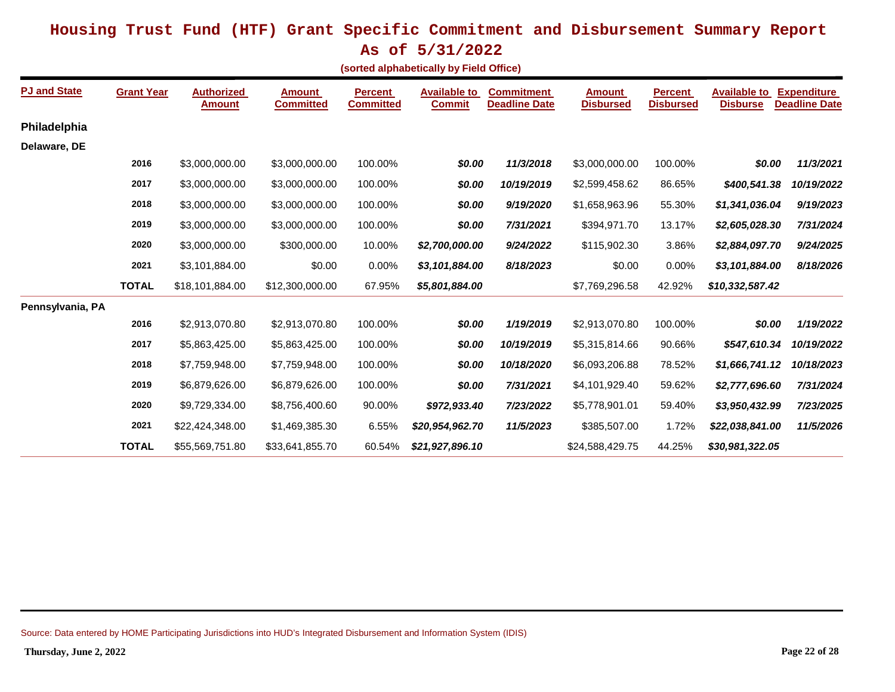**As of 5/31/2022**

|  | (sorted alphabetically by Field Office) |  |  |
|--|-----------------------------------------|--|--|
|--|-----------------------------------------|--|--|

| <b>PJ and State</b> | <b>Grant Year</b> | <b>Authorized</b><br><b>Amount</b> | <b>Amount</b><br><b>Committed</b> | <b>Percent</b><br><b>Committed</b> | <b>Available to</b><br><b>Commit</b> | <b>Commitment</b><br><b>Deadline Date</b> | <b>Amount</b><br><b>Disbursed</b> | <b>Percent</b><br><b>Disbursed</b> | <b>Available to</b><br><b>Disburse</b> | <b>Expenditure</b><br><b>Deadline Date</b> |
|---------------------|-------------------|------------------------------------|-----------------------------------|------------------------------------|--------------------------------------|-------------------------------------------|-----------------------------------|------------------------------------|----------------------------------------|--------------------------------------------|
| Philadelphia        |                   |                                    |                                   |                                    |                                      |                                           |                                   |                                    |                                        |                                            |
| Delaware, DE        |                   |                                    |                                   |                                    |                                      |                                           |                                   |                                    |                                        |                                            |
|                     | 2016              | \$3,000,000.00                     | \$3,000,000.00                    | 100.00%                            | \$0.00                               | 11/3/2018                                 | \$3,000,000.00                    | 100.00%                            | \$0.00                                 | 11/3/2021                                  |
|                     | 2017              | \$3,000,000.00                     | \$3,000,000.00                    | 100.00%                            | \$0.00                               | 10/19/2019                                | \$2,599,458.62                    | 86.65%                             | \$400,541.38                           | 10/19/2022                                 |
|                     | 2018              | \$3,000,000.00                     | \$3,000,000.00                    | 100.00%                            | \$0.00                               | 9/19/2020                                 | \$1,658,963.96                    | 55.30%                             | \$1,341,036.04                         | 9/19/2023                                  |
|                     | 2019              | \$3,000,000.00                     | \$3,000,000.00                    | 100.00%                            | \$0.00                               | 7/31/2021                                 | \$394,971.70                      | 13.17%                             | \$2,605,028.30                         | 7/31/2024                                  |
|                     | 2020              | \$3,000,000.00                     | \$300,000.00                      | 10.00%                             | \$2,700,000.00                       | 9/24/2022                                 | \$115,902.30                      | 3.86%                              | \$2,884,097.70                         | 9/24/2025                                  |
|                     | 2021              | \$3,101,884.00                     | \$0.00                            | 0.00%                              | \$3,101,884.00                       | 8/18/2023                                 | \$0.00                            | 0.00%                              | \$3,101,884.00                         | 8/18/2026                                  |
|                     | <b>TOTAL</b>      | \$18,101,884.00                    | \$12,300,000.00                   | 67.95%                             | \$5,801,884.00                       |                                           | \$7,769,296.58                    | 42.92%                             | \$10,332,587.42                        |                                            |
| Pennsylvania, PA    |                   |                                    |                                   |                                    |                                      |                                           |                                   |                                    |                                        |                                            |
|                     | 2016              | \$2,913,070.80                     | \$2,913,070.80                    | 100.00%                            | \$0.00                               | 1/19/2019                                 | \$2,913,070.80                    | 100.00%                            | \$0.00                                 | 1/19/2022                                  |
|                     | 2017              | \$5,863,425.00                     | \$5,863,425.00                    | 100.00%                            | \$0.00                               | 10/19/2019                                | \$5,315,814.66                    | 90.66%                             | \$547,610.34                           | 10/19/2022                                 |
|                     | 2018              | \$7,759,948.00                     | \$7,759,948.00                    | 100.00%                            | \$0.00                               | 10/18/2020                                | \$6,093,206.88                    | 78.52%                             | \$1,666,741.12                         | 10/18/2023                                 |
|                     | 2019              | \$6,879,626.00                     | \$6,879,626.00                    | 100.00%                            | \$0.00                               | 7/31/2021                                 | \$4,101,929.40                    | 59.62%                             | \$2,777,696.60                         | 7/31/2024                                  |
|                     | 2020              | \$9,729,334.00                     | \$8,756,400.60                    | 90.00%                             | \$972,933.40                         | 7/23/2022                                 | \$5,778,901.01                    | 59.40%                             | \$3,950,432.99                         | 7/23/2025                                  |
|                     | 2021              | \$22,424,348.00                    | \$1,469,385.30                    | 6.55%                              | \$20,954,962.70                      | 11/5/2023                                 | \$385,507.00                      | 1.72%                              | \$22,038,841.00                        | 11/5/2026                                  |
|                     | <b>TOTAL</b>      | \$55,569,751.80                    | \$33,641,855.70                   | 60.54%                             | \$21,927,896.10                      |                                           | \$24,588,429.75                   | 44.25%                             | \$30,981,322.05                        |                                            |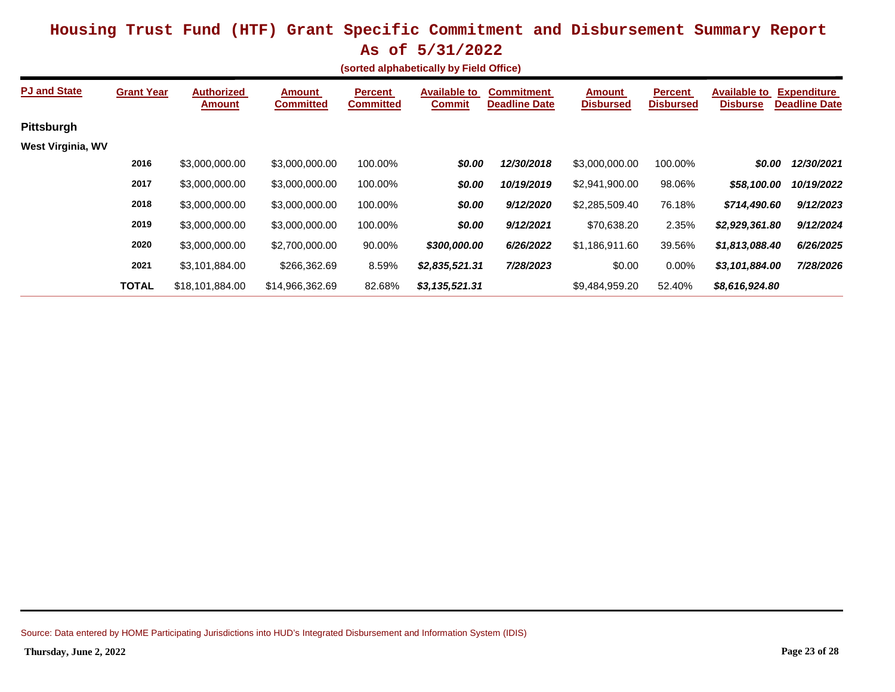| (sorted alphabetically by Field Office) |  |
|-----------------------------------------|--|
|-----------------------------------------|--|

| <b>PJ and State</b> | <b>Grant Year</b> | <b>Authorized</b><br><b>Amount</b> | <b>Amount</b><br><b>Committed</b> | <b>Percent</b><br><b>Committed</b> | <b>Available to</b><br><b>Commit</b> | <b>Commitment</b><br><b>Deadline Date</b> | <b>Amount</b><br><b>Disbursed</b> | <b>Percent</b><br><b>Disbursed</b> | <b>Available to</b><br><b>Disburse</b> | <b>Expenditure</b><br><b>Deadline Date</b> |
|---------------------|-------------------|------------------------------------|-----------------------------------|------------------------------------|--------------------------------------|-------------------------------------------|-----------------------------------|------------------------------------|----------------------------------------|--------------------------------------------|
| Pittsburgh          |                   |                                    |                                   |                                    |                                      |                                           |                                   |                                    |                                        |                                            |
| West Virginia, WV   |                   |                                    |                                   |                                    |                                      |                                           |                                   |                                    |                                        |                                            |
|                     | 2016              | \$3,000,000.00                     | \$3,000,000.00                    | 100.00%                            | \$0.00                               | 12/30/2018                                | \$3,000,000.00                    | 100.00%                            | \$0.00                                 | 12/30/2021                                 |
|                     | 2017              | \$3,000,000.00                     | \$3,000,000.00                    | 100.00%                            | \$0.00                               | 10/19/2019                                | \$2,941,900.00                    | 98.06%                             | \$58,100.00                            | 10/19/2022                                 |
|                     | 2018              | \$3,000,000.00                     | \$3,000,000.00                    | 100.00%                            | \$0.00                               | 9/12/2020                                 | \$2,285,509.40                    | 76.18%                             | \$714,490.60                           | 9/12/2023                                  |
|                     | 2019              | \$3,000,000.00                     | \$3,000,000.00                    | 100.00%                            | \$0.00                               | 9/12/2021                                 | \$70,638.20                       | 2.35%                              | \$2,929,361.80                         | 9/12/2024                                  |
|                     | 2020              | \$3,000,000.00                     | \$2,700,000.00                    | 90.00%                             | \$300,000.00                         | 6/26/2022                                 | \$1,186,911.60                    | 39.56%                             | \$1,813,088.40                         | 6/26/2025                                  |
|                     | 2021              | \$3,101,884.00                     | \$266,362.69                      | 8.59%                              | \$2,835,521.31                       | 7/28/2023                                 | \$0.00                            | 0.00%                              | \$3,101,884.00                         | 7/28/2026                                  |
|                     | <b>TOTAL</b>      | \$18,101,884,00                    | \$14.966.362.69                   | 82.68%                             | \$3,135,521.31                       |                                           | \$9,484,959.20                    | 52.40%                             | \$8,616,924.80                         |                                            |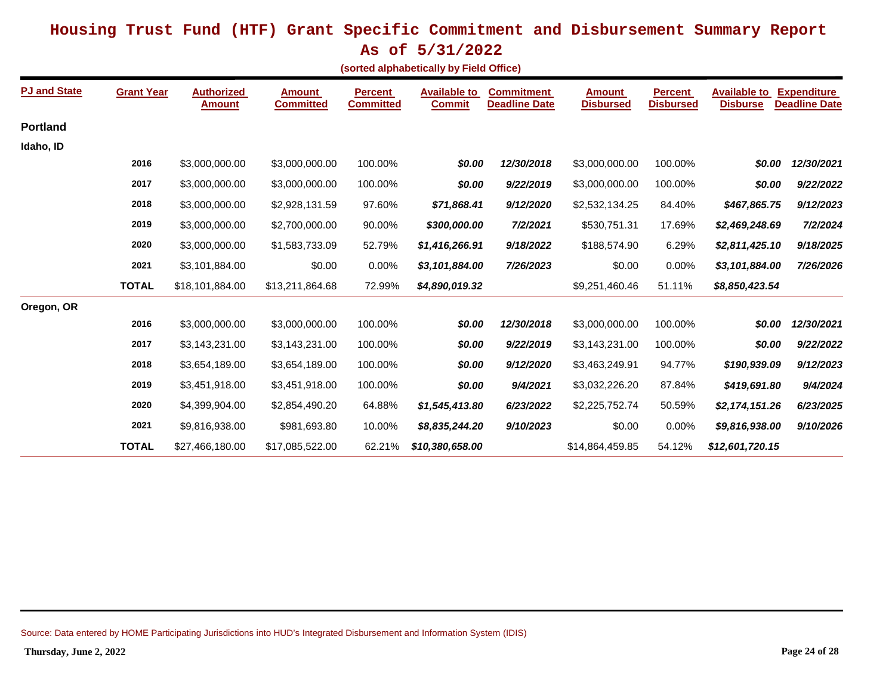**As of 5/31/2022**

| (sorted alphabetically by Field Office) |  |
|-----------------------------------------|--|
|-----------------------------------------|--|

| <b>PJ and State</b> | <b>Grant Year</b> | <b>Authorized</b><br><b>Amount</b> | <b>Amount</b><br><b>Committed</b> | <b>Percent</b><br><b>Committed</b> | <b>Available to</b><br><b>Commit</b> | <b>Commitment</b><br><b>Deadline Date</b> | <b>Amount</b><br><b>Disbursed</b> | <b>Percent</b><br><b>Disbursed</b> | <b>Available to</b><br><b>Disburse</b> | <b>Expenditure</b><br><b>Deadline Date</b> |
|---------------------|-------------------|------------------------------------|-----------------------------------|------------------------------------|--------------------------------------|-------------------------------------------|-----------------------------------|------------------------------------|----------------------------------------|--------------------------------------------|
| <b>Portland</b>     |                   |                                    |                                   |                                    |                                      |                                           |                                   |                                    |                                        |                                            |
| Idaho, ID           |                   |                                    |                                   |                                    |                                      |                                           |                                   |                                    |                                        |                                            |
|                     | 2016              | \$3,000,000.00                     | \$3,000,000.00                    | 100.00%                            | \$0.00                               | 12/30/2018                                | \$3,000,000.00                    | 100.00%                            | \$0.00                                 | 12/30/2021                                 |
|                     | 2017              | \$3,000,000.00                     | \$3,000,000.00                    | 100.00%                            | \$0.00                               | 9/22/2019                                 | \$3,000,000.00                    | 100.00%                            | \$0.00                                 | 9/22/2022                                  |
|                     | 2018              | \$3,000,000.00                     | \$2,928,131.59                    | 97.60%                             | \$71,868.41                          | 9/12/2020                                 | \$2,532,134.25                    | 84.40%                             | \$467,865.75                           | 9/12/2023                                  |
|                     | 2019              | \$3,000,000.00                     | \$2,700,000.00                    | 90.00%                             | \$300,000.00                         | 7/2/2021                                  | \$530,751.31                      | 17.69%                             | \$2,469,248.69                         | 7/2/2024                                   |
|                     | 2020              | \$3,000,000.00                     | \$1,583,733.09                    | 52.79%                             | \$1,416,266.91                       | 9/18/2022                                 | \$188,574.90                      | 6.29%                              | \$2,811,425.10                         | 9/18/2025                                  |
|                     | 2021              | \$3,101,884.00                     | \$0.00                            | 0.00%                              | \$3,101,884.00                       | 7/26/2023                                 | \$0.00                            | 0.00%                              | \$3,101,884.00                         | 7/26/2026                                  |
|                     | <b>TOTAL</b>      | \$18,101,884.00                    | \$13,211,864.68                   | 72.99%                             | \$4,890,019.32                       |                                           | \$9,251,460.46                    | 51.11%                             | \$8,850,423.54                         |                                            |
| Oregon, OR          |                   |                                    |                                   |                                    |                                      |                                           |                                   |                                    |                                        |                                            |
|                     | 2016              | \$3,000,000.00                     | \$3,000,000.00                    | 100.00%                            | \$0.00                               | 12/30/2018                                | \$3,000,000.00                    | 100.00%                            | \$0.00                                 | 12/30/2021                                 |
|                     | 2017              | \$3,143,231.00                     | \$3,143,231.00                    | 100.00%                            | \$0.00                               | 9/22/2019                                 | \$3,143,231.00                    | 100.00%                            | \$0.00                                 | 9/22/2022                                  |
|                     | 2018              | \$3,654,189.00                     | \$3,654,189.00                    | 100.00%                            | \$0.00                               | 9/12/2020                                 | \$3,463,249.91                    | 94.77%                             | \$190,939.09                           | 9/12/2023                                  |
|                     | 2019              | \$3,451,918.00                     | \$3,451,918.00                    | 100.00%                            | \$0.00                               | 9/4/2021                                  | \$3,032,226.20                    | 87.84%                             | \$419,691.80                           | 9/4/2024                                   |
|                     | 2020              | \$4,399,904.00                     | \$2,854,490.20                    | 64.88%                             | \$1,545,413.80                       | 6/23/2022                                 | \$2,225,752.74                    | 50.59%                             | \$2,174,151.26                         | 6/23/2025                                  |
|                     | 2021              | \$9,816,938.00                     | \$981,693.80                      | 10.00%                             | \$8,835,244.20                       | 9/10/2023                                 | \$0.00                            | 0.00%                              | \$9,816,938.00                         | 9/10/2026                                  |
|                     | <b>TOTAL</b>      | \$27,466,180.00                    | \$17,085,522.00                   | 62.21%                             | \$10,380,658.00                      |                                           | \$14,864,459.85                   | 54.12%                             | \$12,601,720.15                        |                                            |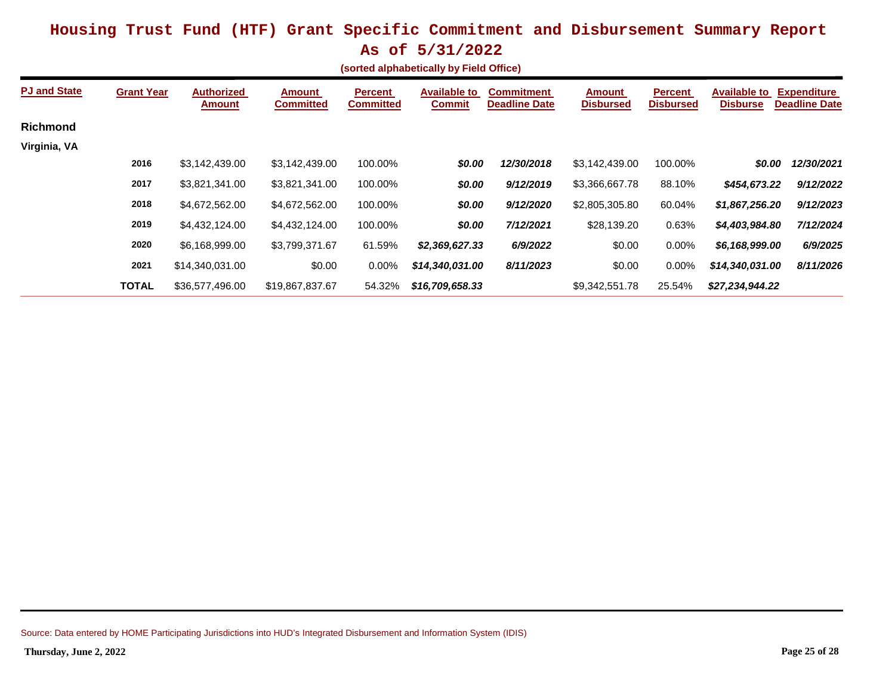|  |  |  |  |  | $220 - 27 - 37 - 27 - 202$ |  |
|--|--|--|--|--|----------------------------|--|
|  |  |  |  |  |                            |  |

| (sorted alphabetically by Field Office) |  |
|-----------------------------------------|--|
|-----------------------------------------|--|

| <b>PJ and State</b> | <b>Grant Year</b> | <b>Authorized</b><br><b>Amount</b> | <b>Amount</b><br><b>Committed</b> | <b>Percent</b><br><b>Committed</b> | <b>Available to</b><br><b>Commit</b> | <b>Commitment</b><br><b>Deadline Date</b> | <b>Amount</b><br><b>Disbursed</b> | <b>Percent</b><br><b>Disbursed</b> | <b>Available to</b><br><b>Disburse</b> | <b>Expenditure</b><br><b>Deadline Date</b> |
|---------------------|-------------------|------------------------------------|-----------------------------------|------------------------------------|--------------------------------------|-------------------------------------------|-----------------------------------|------------------------------------|----------------------------------------|--------------------------------------------|
| <b>Richmond</b>     |                   |                                    |                                   |                                    |                                      |                                           |                                   |                                    |                                        |                                            |
| Virginia, VA        |                   |                                    |                                   |                                    |                                      |                                           |                                   |                                    |                                        |                                            |
|                     | 2016              | \$3,142,439.00                     | \$3,142,439.00                    | 100.00%                            | \$0.00                               | 12/30/2018                                | \$3,142,439.00                    | 100.00%                            | \$0.00                                 | 12/30/2021                                 |
|                     | 2017              | \$3,821,341.00                     | \$3,821,341.00                    | 100.00%                            | \$0.00                               | 9/12/2019                                 | \$3,366,667.78                    | 88.10%                             | \$454,673.22                           | 9/12/2022                                  |
|                     | 2018              | \$4,672,562.00                     | \$4,672,562.00                    | 100.00%                            | \$0.00                               | 9/12/2020                                 | \$2,805,305.80                    | 60.04%                             | \$1,867,256.20                         | 9/12/2023                                  |
|                     | 2019              | \$4.432,124.00                     | \$4,432,124.00                    | 100.00%                            | \$0.00                               | 7/12/2021                                 | \$28,139.20                       | 0.63%                              | \$4,403,984.80                         | 7/12/2024                                  |
|                     | 2020              | \$6.168.999.00                     | \$3,799,371.67                    | 61.59%                             | \$2,369,627.33                       | 6/9/2022                                  | \$0.00                            | $0.00\%$                           | \$6,168,999.00                         | 6/9/2025                                   |
|                     | 2021              | \$14.340.031.00                    | \$0.00                            | $0.00\%$                           | \$14,340,031.00                      | 8/11/2023                                 | \$0.00                            | 0.00%                              | \$14,340,031.00                        | 8/11/2026                                  |
|                     | <b>TOTAL</b>      | \$36,577,496.00                    | \$19,867,837.67                   | 54.32%                             | \$16,709,658.33                      |                                           | \$9,342,551.78                    | 25.54%                             | \$27,234,944.22                        |                                            |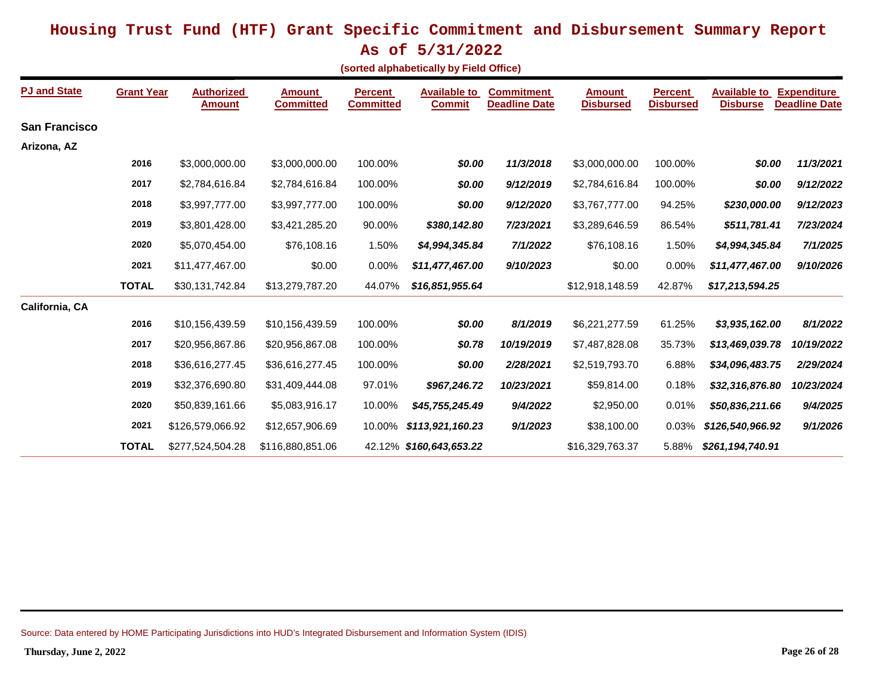**As of 5/31/2022**

| (sorted alphabetically by Field Office) |  |
|-----------------------------------------|--|
|-----------------------------------------|--|

| <b>PJ and State</b>   | <b>Grant Year</b> | <b>Authorized</b><br><b>Amount</b> | <b>Amount</b><br><b>Committed</b> | <b>Percent</b><br><b>Committed</b> | <b>Available to</b><br><b>Commit</b> | <b>Commitment</b><br><b>Deadline Date</b> | <b>Amount</b><br><b>Disbursed</b> | <b>Percent</b><br><b>Disbursed</b> | <b>Available to</b><br><b>Disburse</b> | <b>Expenditure</b><br><b>Deadline Date</b> |
|-----------------------|-------------------|------------------------------------|-----------------------------------|------------------------------------|--------------------------------------|-------------------------------------------|-----------------------------------|------------------------------------|----------------------------------------|--------------------------------------------|
| <b>San Francisco</b>  |                   |                                    |                                   |                                    |                                      |                                           |                                   |                                    |                                        |                                            |
| Arizona, AZ           |                   |                                    |                                   |                                    |                                      |                                           |                                   |                                    |                                        |                                            |
|                       | 2016              | \$3,000,000.00                     | \$3,000,000.00                    | 100.00%                            | \$0.00                               | 11/3/2018                                 | \$3,000,000.00                    | 100.00%                            | \$0.00                                 | 11/3/2021                                  |
|                       | 2017              | \$2,784,616.84                     | \$2,784,616.84                    | 100.00%                            | \$0.00                               | 9/12/2019                                 | \$2,784,616.84                    | 100.00%                            | \$0.00                                 | 9/12/2022                                  |
|                       | 2018              | \$3,997,777.00                     | \$3,997,777.00                    | 100.00%                            | \$0.00                               | 9/12/2020                                 | \$3,767,777.00                    | 94.25%                             | \$230,000.00                           | 9/12/2023                                  |
|                       | 2019              | \$3,801,428.00                     | \$3,421,285.20                    | 90.00%                             | \$380,142.80                         | 7/23/2021                                 | \$3,289,646.59                    | 86.54%                             | \$511,781.41                           | 7/23/2024                                  |
|                       | 2020              | \$5,070,454.00                     | \$76,108.16                       | 1.50%                              | \$4,994,345.84                       | 7/1/2022                                  | \$76,108.16                       | 1.50%                              | \$4,994,345.84                         | 7/1/2025                                   |
|                       | 2021              | \$11,477,467.00                    | \$0.00                            | 0.00%                              | \$11,477,467.00                      | 9/10/2023                                 | \$0.00                            | 0.00%                              | \$11,477,467.00                        | 9/10/2026                                  |
|                       | <b>TOTAL</b>      | \$30,131,742.84                    | \$13,279,787.20                   | 44.07%                             | \$16,851,955.64                      |                                           | \$12,918,148.59                   | 42.87%                             | \$17,213,594.25                        |                                            |
| <b>California, CA</b> |                   |                                    |                                   |                                    |                                      |                                           |                                   |                                    |                                        |                                            |
|                       | 2016              | \$10,156,439.59                    | \$10,156,439.59                   | 100.00%                            | \$0.00                               | 8/1/2019                                  | \$6,221,277.59                    | 61.25%                             | \$3,935,162.00                         | 8/1/2022                                   |
|                       | 2017              | \$20,956,867.86                    | \$20,956,867.08                   | 100.00%                            | \$0.78                               | 10/19/2019                                | \$7,487,828.08                    | 35.73%                             | \$13,469,039.78                        | 10/19/2022                                 |
|                       | 2018              | \$36,616,277.45                    | \$36,616,277.45                   | 100.00%                            | \$0.00                               | 2/28/2021                                 | \$2,519,793.70                    | 6.88%                              | \$34,096,483.75                        | 2/29/2024                                  |
|                       | 2019              | \$32,376,690.80                    | \$31,409,444.08                   | 97.01%                             | \$967,246.72                         | 10/23/2021                                | \$59,814.00                       | 0.18%                              | \$32,316,876.80                        | 10/23/2024                                 |
|                       | 2020              | \$50,839,161.66                    | \$5,083,916.17                    | 10.00%                             | \$45,755,245.49                      | 9/4/2022                                  | \$2,950.00                        | 0.01%                              | \$50,836,211.66                        | 9/4/2025                                   |
|                       | 2021              | \$126,579,066.92                   | \$12,657,906.69                   | 10.00%                             | \$113,921,160.23                     | 9/1/2023                                  | \$38,100.00                       | 0.03%                              | \$126,540,966.92                       | 9/1/2026                                   |
|                       | <b>TOTAL</b>      | \$277,524,504.28                   | \$116,880,851.06                  |                                    | 42.12% \$160,643,653.22              |                                           | \$16,329,763.37                   | 5.88%                              | \$261,194,740.91                       |                                            |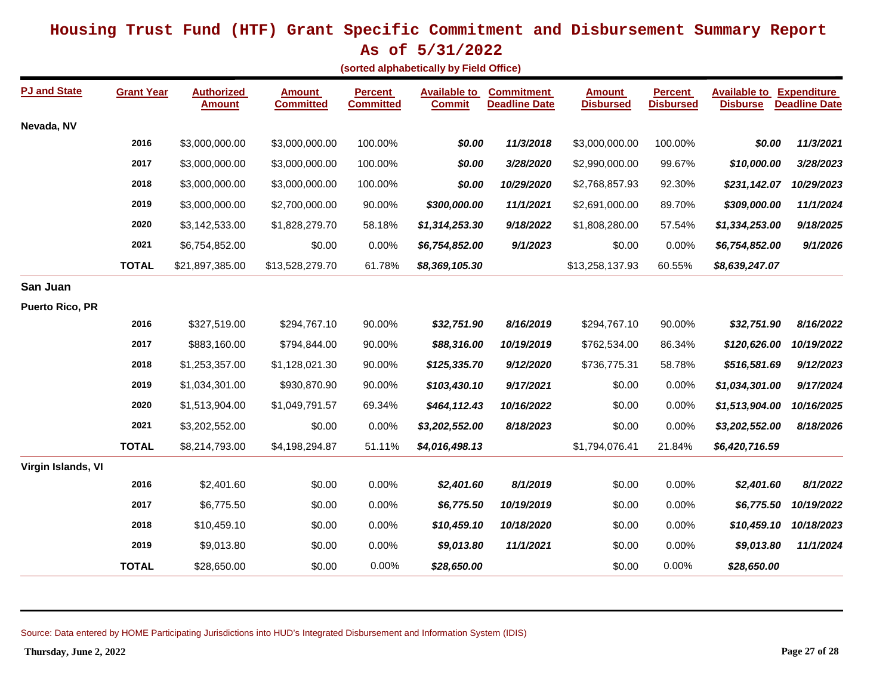**As of 5/31/2022**

| (sorted alphabetically by Field Office) |  |
|-----------------------------------------|--|
|-----------------------------------------|--|

| <b>PJ and State</b>    | <b>Grant Year</b> | <b>Authorized</b><br><u>Amount</u> | <b>Amount</b><br><b>Committed</b> | <b>Percent</b><br><b>Committed</b> | <b>Available to</b><br><b>Commit</b> | <b>Commitment</b><br><b>Deadline Date</b> | <b>Amount</b><br><b>Disbursed</b> | <b>Percent</b><br><b>Disbursed</b> | <b>Available to Expenditure</b><br><b>Disburse</b> | <b>Deadline Date</b> |
|------------------------|-------------------|------------------------------------|-----------------------------------|------------------------------------|--------------------------------------|-------------------------------------------|-----------------------------------|------------------------------------|----------------------------------------------------|----------------------|
| Nevada, NV             |                   |                                    |                                   |                                    |                                      |                                           |                                   |                                    |                                                    |                      |
|                        | 2016              | \$3,000,000.00                     | \$3,000,000.00                    | 100.00%                            | \$0.00                               | 11/3/2018                                 | \$3,000,000.00                    | 100.00%                            | \$0.00                                             | 11/3/2021            |
|                        | 2017              | \$3,000,000.00                     | \$3,000,000.00                    | 100.00%                            | \$0.00                               | 3/28/2020                                 | \$2,990,000.00                    | 99.67%                             | \$10,000.00                                        | 3/28/2023            |
|                        | 2018              | \$3,000,000.00                     | \$3,000,000.00                    | 100.00%                            | \$0.00                               | 10/29/2020                                | 92.30%<br>\$2,768,857.93          |                                    | \$231,142.07                                       | 10/29/2023           |
|                        | 2019              | \$3,000,000.00                     | \$2,700,000.00                    | 90.00%                             | \$300,000.00                         | 11/1/2021                                 | \$2,691,000.00                    | 89.70%                             | \$309,000.00                                       | 11/1/2024            |
|                        | 2020              | \$3,142,533.00                     | \$1,828,279.70                    | 58.18%                             | \$1,314,253.30                       | 9/18/2022                                 | \$1,808,280.00                    | 57.54%                             | \$1,334,253.00                                     | 9/18/2025            |
|                        | 2021              | \$6,754,852.00                     | \$0.00                            | 0.00%                              | \$6,754,852.00                       | 9/1/2023                                  | \$0.00                            | 0.00%                              | \$6,754,852.00                                     | 9/1/2026             |
|                        | <b>TOTAL</b>      | \$21,897,385.00                    | \$13,528,279.70                   | 61.78%                             | \$8,369,105.30                       |                                           | \$13,258,137.93                   | 60.55%                             | \$8,639,247.07                                     |                      |
| San Juan               |                   |                                    |                                   |                                    |                                      |                                           |                                   |                                    |                                                    |                      |
| <b>Puerto Rico, PR</b> |                   |                                    |                                   |                                    |                                      |                                           |                                   |                                    |                                                    |                      |
|                        | 2016              | \$327,519.00                       | \$294,767.10                      | 90.00%                             | \$32,751.90                          | 8/16/2019                                 | \$294,767.10                      | 90.00%                             | \$32,751.90                                        | 8/16/2022            |
|                        | 2017              | \$883,160.00                       | \$794,844.00                      | 90.00%                             | \$88,316.00                          | 10/19/2019                                | \$762,534.00                      | 86.34%                             | \$120,626.00                                       | 10/19/2022           |
|                        | 2018              | \$1,253,357.00                     | \$1,128,021.30                    | 90.00%                             | \$125,335.70                         | 9/12/2020                                 | \$736,775.31                      | 58.78%                             | \$516,581.69                                       | 9/12/2023            |
|                        | 2019              | \$1,034,301.00                     | \$930,870.90                      | 90.00%                             | \$103,430.10                         | 9/17/2021                                 | \$0.00                            | 0.00%                              | \$1,034,301.00                                     | 9/17/2024            |
|                        | 2020              | \$1,513,904.00                     | \$1,049,791.57                    | 69.34%                             | \$464,112.43                         | 10/16/2022                                | \$0.00                            | 0.00%                              | \$1,513,904.00                                     | 10/16/2025           |
|                        | 2021              | \$3,202,552.00                     | \$0.00                            | 0.00%                              | \$3,202,552.00                       | 8/18/2023                                 | \$0.00                            | 0.00%                              | \$3,202,552.00                                     | 8/18/2026            |
|                        | <b>TOTAL</b>      | \$8,214,793.00                     | \$4,198,294.87                    | 51.11%                             | \$4,016,498.13                       |                                           | \$1,794,076.41                    | 21.84%                             | \$6,420,716.59                                     |                      |
| Virgin Islands, VI     |                   |                                    |                                   |                                    |                                      |                                           |                                   |                                    |                                                    |                      |
|                        | 2016              | \$2,401.60                         | \$0.00                            | 0.00%                              | \$2,401.60                           | 8/1/2019                                  | \$0.00                            | 0.00%                              | \$2,401.60                                         | 8/1/2022             |
|                        | 2017              | \$6,775.50                         | \$0.00                            | 0.00%                              | \$6,775.50                           | 10/19/2019                                | \$0.00                            | 0.00%                              | \$6,775.50                                         | 10/19/2022           |
|                        | 2018              | \$10,459.10                        | \$0.00                            | 0.00%                              | \$10,459.10                          | 10/18/2020                                | \$0.00                            | 0.00%                              | \$10,459.10                                        | 10/18/2023           |
|                        | 2019              | \$9,013.80                         | \$0.00                            | 0.00%                              | \$9,013.80                           | 11/1/2021                                 | \$0.00                            | 0.00%                              | \$9,013.80                                         | 11/1/2024            |
|                        | <b>TOTAL</b>      | \$28,650.00                        | \$0.00                            | 0.00%                              | \$28,650.00                          |                                           | \$0.00                            | 0.00%                              | \$28,650.00                                        |                      |